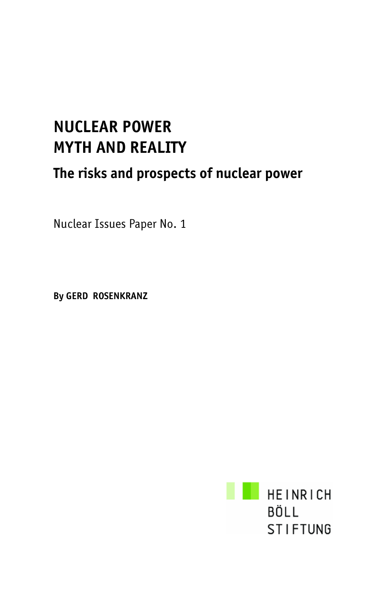# **NUCLEAR POWER MYTH AND REALITY**

The risks and prospects of nuclear power

Nuclear Issues Paper No. 1

By GERD ROSENKRANZ

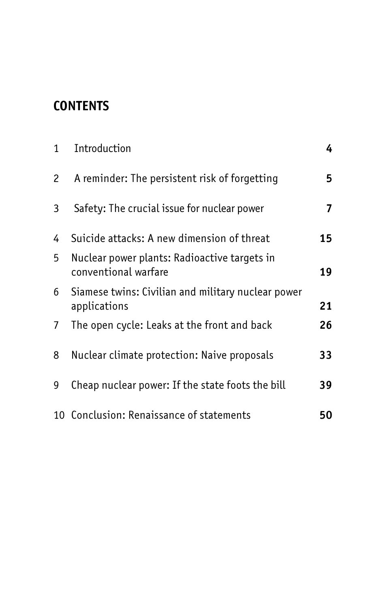# **CONTENTS**

| 1  | Introduction                                                         | 4  |
|----|----------------------------------------------------------------------|----|
| 2  | A reminder: The persistent risk of forgetting                        | 5  |
| 3  | Safety: The crucial issue for nuclear power                          | 7  |
| 4  | Suicide attacks: A new dimension of threat                           | 15 |
| 5. | Nuclear power plants: Radioactive targets in<br>conventional warfare | 19 |
| 6  | Siamese twins: Civilian and military nuclear power<br>applications   | 21 |
| 7  | The open cycle: Leaks at the front and back                          | 26 |
| 8  | Nuclear climate protection: Naive proposals                          | 33 |
| 9  | Cheap nuclear power: If the state foots the bill                     | 39 |
|    | 10 Conclusion: Renaissance of statements                             | 50 |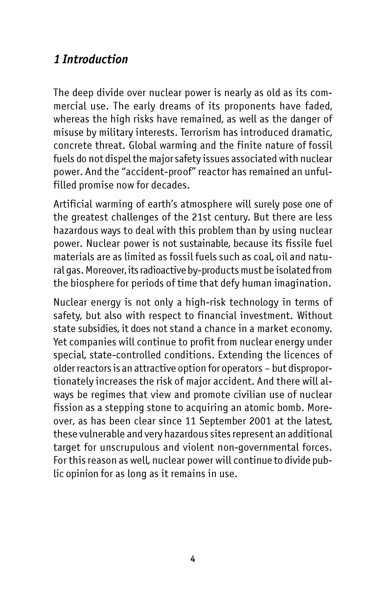#### 1 Introduction

The deep divide over nuclear power is nearly as old as its commercial use. The early dreams of its proponents have faded, whereas the high risks have remained, as well as the danger of misuse by military interests. Terrorism has introduced dramatic, concrete threat. Global warming and the finite nature of fossil fuels do not dispel the major safety issues associated with nuclear power. And the "accident-proof" reactor has remained an unfulfilled promise now for decades.

Artificial warming of earth's atmosphere will surely pose one of the greatest challenges of the 21st century. But there are less hazardous ways to deal with this problem than by using nuclear power. Nuclear power is not sustainable, because its fissile fuel materials are as limited as fossil fuels such as coal, oil and natural gas. Moreover, its radioactive by-products must be isolated from the biosphere for periods of time that defy human imagination.

Nuclear energy is not only a high-risk technology in terms of safety, but also with respect to financial investment. Without state subsidies, it does not stand a chance in a market economy. Yet companies will continue to profit from nuclear energy under special, state-controlled conditions. Extending the licences of older reactors is an attractive option for operators - but disproportionately increases the risk of major accident. And there will always be regimes that view and promote civilian use of nuclear fission as a stepping stone to acquiring an atomic bomb. Moreover, as has been clear since 11 September 2001 at the latest, these vulnerable and very hazardous sites represent an additional target for unscrupulous and violent non-governmental forces. For this reason as well, nuclear power will continue to divide public opinion for as long as it remains in use.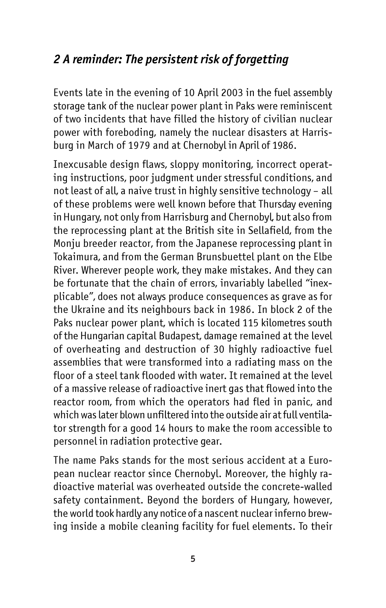# 2 A reminder: The persistent risk of forgetting

Events late in the evening of 10 April 2003 in the fuel assembly storage tank of the nuclear power plant in Paks were reminiscent of two incidents that have filled the history of civilian nuclear power with foreboding, namely the nuclear disasters at Harrisburg in March of 1979 and at Chernobyl in April of 1986.

Inexcusable design flaws, sloppy monitoring, incorrect operating instructions, poor judgment under stressful conditions, and not least of all, a naive trust in highly sensitive technology - all of these problems were well known before that Thursday evening in Hungary, not only from Harrisburg and Chernobyl, but also from the reprocessing plant at the British site in Sellafield, from the Monju breeder reactor, from the Japanese reprocessing plant in Tokaimura, and from the German Brunsbuettel plant on the Elbe River. Wherever people work, they make mistakes. And they can be fortunate that the chain of errors, invariably labelled "inexplicable", does not always produce consequences as grave as for the Ukraine and its neighbours back in 1986. In block 2 of the Paks nuclear power plant, which is located 115 kilometres south of the Hungarian capital Budapest, damage remained at the level of overheating and destruction of 30 highly radioactive fuel assemblies that were transformed into a radiating mass on the floor of a steel tank flooded with water. It remained at the level of a massive release of radioactive inert gas that flowed into the reactor room, from which the operators had fled in panic, and which was later blown unfiltered into the outside air at full ventilator strength for a good 14 hours to make the room accessible to personnel in radiation protective gear.

The name Paks stands for the most serious accident at a European nuclear reactor since Chernobyl. Moreover, the highly radioactive material was overheated outside the concrete-walled safety containment. Beyond the borders of Hungary, however, the world took hardly any notice of a nascent nuclear inferno brewing inside a mobile cleaning facility for fuel elements. To their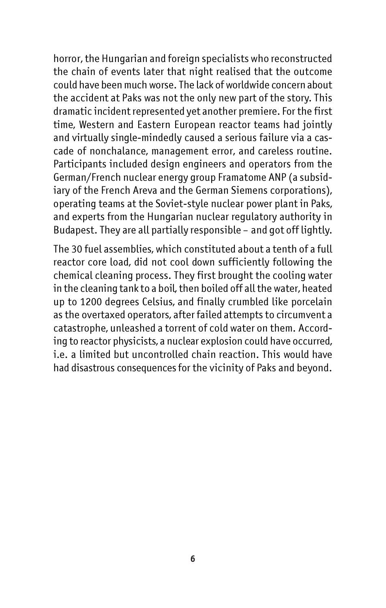horror, the Hungarian and foreign specialists who reconstructed the chain of events later that night realised that the outcome could have been much worse. The lack of worldwide concern about the accident at Paks was not the only new part of the story. This dramatic incident represented yet another premiere. For the first time, Western and Eastern European reactor teams had jointly and virtually single-mindedly caused a serious failure via a cascade of nonchalance, management error, and careless routine. Participants included design engineers and operators from the German/French nuclear energy group Framatome ANP (a subsidiary of the French Areva and the German Siemens corporations), operating teams at the Soviet-style nuclear power plant in Paks, and experts from the Hungarian nuclear regulatory authority in Budapest. They are all partially responsible - and got off lightly.

The 30 fuel assemblies, which constituted about a tenth of a full reactor core load, did not cool down sufficiently following the chemical cleaning process. They first brought the cooling water in the cleaning tank to a boil, then boiled off all the water, heated up to 1200 degrees Celsius, and finally crumbled like porcelain as the overtaxed operators, after failed attempts to circumvent a catastrophe, unleashed a torrent of cold water on them. According to reactor physicists, a nuclear explosion could have occurred, i.e. a limited but uncontrolled chain reaction. This would have had disastrous consequences for the vicinity of Paks and bevond.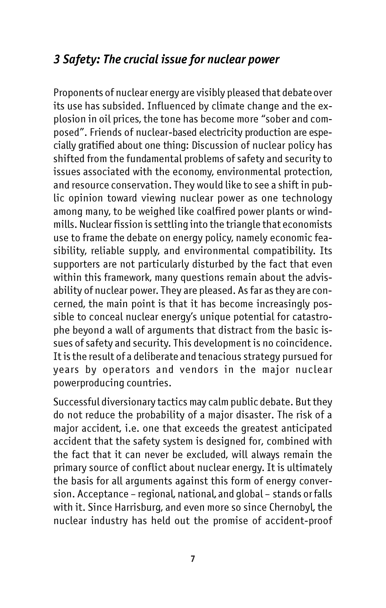### 3 Safety: The crucial issue for nuclear power

Proponents of nuclear energy are visibly pleased that debate over its use has subsided. Influenced by climate change and the explosion in oil prices, the tone has become more "sober and composed". Friends of nuclear-based electricity production are especially gratified about one thing: Discussion of nuclear policy has shifted from the fundamental problems of safety and security to issues associated with the economy, environmental protection, and resource conservation. They would like to see a shift in public opinion toward viewing nuclear power as one technology among many, to be weighed like coalfired power plants or windmills. Nuclear fission is settling into the triangle that economists use to frame the debate on energy policy, namely economic feasibility, reliable supply, and environmental compatibility. Its supporters are not particularly disturbed by the fact that even within this framework, many questions remain about the advisability of nuclear power. They are pleased. As far as they are concerned, the main point is that it has become increasingly possible to conceal nuclear energy's unique potential for catastrophe beyond a wall of arguments that distract from the basic issues of safety and security. This development is no coincidence. It is the result of a deliberate and tenacious strategy pursued for years by operators and vendors in the major nuclear powerproducing countries.

Successful diversionary tactics may calm public debate. But they do not reduce the probability of a major disaster. The risk of a major accident, i.e. one that exceeds the greatest anticipated accident that the safety system is designed for, combined with the fact that it can never be excluded, will always remain the primary source of conflict about nuclear energy. It is ultimately the basis for all arguments against this form of energy conversion. Acceptance - regional, national, and global - stands or falls with it. Since Harrisburg, and even more so since Chernobyl, the nuclear industry has held out the promise of accident-proof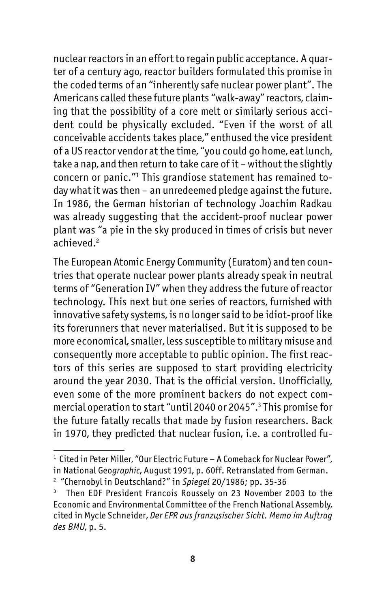nuclear reactors in an effort to regain public acceptance. A quarter of a century ago, reactor builders formulated this promise in the coded terms of an "inherently safe nuclear power plant". The Americans called these future plants "walk-away" reactors, claiming that the possibility of a core melt or similarly serious accident could be physically excluded. "Even if the worst of all conceivable accidents takes place," enthused the vice president of a US reactor vendor at the time, "you could go home, eat lunch, take a nap, and then return to take care of it - without the slightly concern or panic."<sup>1</sup> This grandiose statement has remained today what it was then - an unredeemed pledge against the future. In 1986, the German historian of technology Joachim Radkau was already suggesting that the accident-proof nuclear power plant was "a pie in the sky produced in times of crisis but never achieved.<sup>2</sup>

The European Atomic Energy Community (Euratom) and ten countries that operate nuclear power plants already speak in neutral terms of "Generation IV" when they address the future of reactor technology. This next but one series of reactors, furnished with innovative safety systems, is no longer said to be idiot-proof like its forerunners that never materialised. But it is supposed to be more economical, smaller, less susceptible to military misuse and consequently more acceptable to public opinion. The first reactors of this series are supposed to start providing electricity around the year 2030. That is the official version. Unofficially, even some of the more prominent backers do not expect commercial operation to start "until 2040 or 2045".<sup>3</sup> This promise for the future fatally recalls that made by fusion researchers. Back in 1970, they predicted that nuclear fusion, i.e. a controlled fu-

<sup>&</sup>lt;sup>1</sup> Cited in Peter Miller, "Our Electric Future - A Comeback for Nuclear Power", in National Geographic, August 1991, p. 60ff. Retranslated from German.

<sup>&</sup>lt;sup>2</sup> "Chernobyl in Deutschland?" in Spiegel 20/1986; pp. 35-36

Then EDF President Francois Roussely on 23 November 2003 to the Economic and Environmental Committee of the French National Assembly. cited in Mycle Schneider, Der EPR aus franzusischer Sicht. Memo im Auftrag des BMU, p. 5.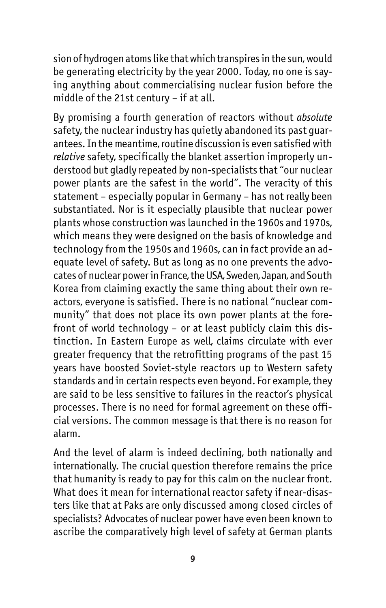sion of hydrogen atoms like that which transpires in the sun, would be generating electricity by the year 2000. Today, no one is saying anything about commercialising nuclear fusion before the middle of the 21st century - if at all.

By promising a fourth generation of reactors without absolute safety, the nuclear industry has quietly abandoned its past quarantees. In the meantime, routine discussion is even satisfied with relative safety, specifically the blanket assertion improperly understood but gladly repeated by non-specialists that "our nuclear power plants are the safest in the world". The veracity of this statement - especially popular in Germany - has not really been substantiated. Nor is it especially plausible that nuclear power plants whose construction was launched in the 1960s and 1970s, which means they were designed on the basis of knowledge and technology from the 1950s and 1960s, can in fact provide an adequate level of safety. But as long as no one prevents the advocates of nuclear power in France, the USA, Sweden, Japan, and South Korea from claiming exactly the same thing about their own reactors, everyone is satisfied. There is no national "nuclear community" that does not place its own power plants at the forefront of world technology - or at least publicly claim this distinction. In Eastern Europe as well, claims circulate with ever greater frequency that the retrofitting programs of the past 15 vears have boosted Soviet-style reactors up to Western safety standards and in certain respects even beyond. For example, they are said to be less sensitive to failures in the reactor's physical processes. There is no need for formal agreement on these official versions. The common message is that there is no reason for alarm.

And the level of alarm is indeed declining, both nationally and internationally. The crucial question therefore remains the price that humanity is ready to pay for this calm on the nuclear front. What does it mean for international reactor safety if near-disasters like that at Paks are only discussed among closed circles of specialists? Advocates of nuclear power have even been known to ascribe the comparatively high level of safety at German plants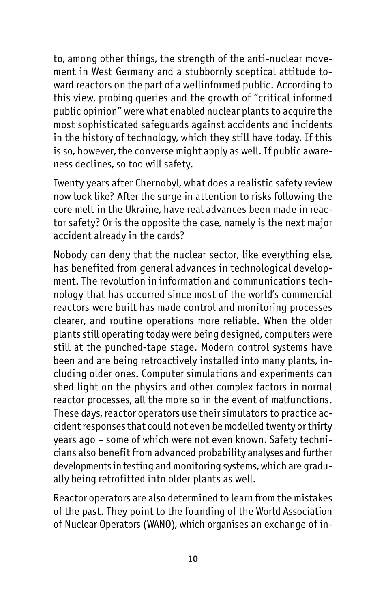to, among other things, the strength of the anti-nuclear movement in West Germany and a stubbornly sceptical attitude toward reactors on the part of a wellinformed public. According to this view, probing queries and the growth of "critical informed public opinion" were what enabled nuclear plants to acquire the most sophisticated safequards against accidents and incidents in the history of technology, which they still have today. If this is so, however, the converse might apply as well. If public awareness declines, so too will safety.

Twenty years after Chernobyl, what does a realistic safety review now look like? After the surge in attention to risks following the core melt in the Ukraine, have real advances been made in reactor safety? Or is the opposite the case, namely is the next major accident already in the cards?

Nobody can deny that the nuclear sector, like everything else, has benefited from general advances in technological development. The revolution in information and communications technology that has occurred since most of the world's commercial reactors were built has made control and monitoring processes clearer, and routine operations more reliable. When the older plants still operating today were being designed, computers were still at the punched-tape stage. Modern control systems have been and are being retroactively installed into many plants, including older ones. Computer simulations and experiments can shed light on the physics and other complex factors in normal reactor processes, all the more so in the event of malfunctions. These days, reactor operators use their simulators to practice accident responses that could not even be modelled twenty or thirty years ago - some of which were not even known. Safety technicians also benefit from advanced probability analyses and further developments in testing and monitoring systems, which are gradually being retrofitted into older plants as well.

Reactor operators are also determined to learn from the mistakes of the past. They point to the founding of the World Association of Nuclear Operators (WANO), which organises an exchange of in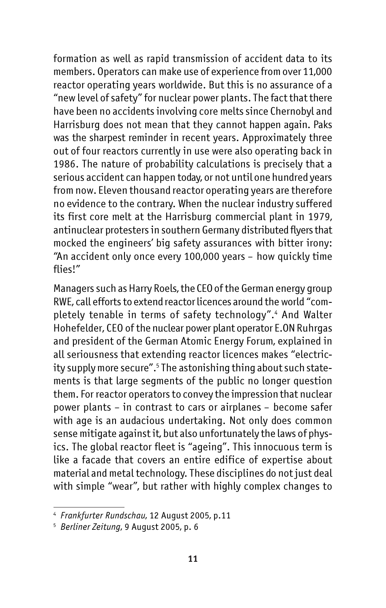formation as well as rapid transmission of accident data to its members. Operators can make use of experience from over 11.000 reactor operating years worldwide. But this is no assurance of a "new level of safety" for nuclear power plants. The fact that there have been no accidents involving core melts since Chernobyl and Harrisburg does not mean that they cannot happen again. Paks was the sharpest reminder in recent years. Approximately three out of four reactors currently in use were also operating back in 1986. The nature of probability calculations is precisely that a serious accident can happen today, or not until one hundred years from now. Eleven thousand reactor operating years are therefore no evidence to the contrary. When the nuclear industry suffered its first core melt at the Harrisburg commercial plant in 1979, antinuclear protesters in southern Germany distributed flyers that mocked the engineers' big safety assurances with bitter irony: "An accident only once every 100,000 years - how quickly time  $fliac!''$ 

Managers such as Harry Roels, the CEO of the German energy group RWE, call efforts to extend reactor licences around the world "completely tenable in terms of safety technology".<sup>4</sup> And Walter Hohefelder, CEO of the nuclear power plant operator E.ON Ruhrgas and president of the German Atomic Energy Forum, explained in all seriousness that extending reactor licences makes "electricity supply more secure".<sup>5</sup> The astonishing thing about such statements is that large segments of the public no longer question them. For reactor operators to convey the impression that nuclear power plants - in contrast to cars or airplanes - become safer with age is an audacious undertaking. Not only does common sense mitigate against it, but also unfortunately the laws of physics. The global reactor fleet is "ageing". This innocuous term is like a facade that covers an entire edifice of expertise about material and metal technology. These disciplines do not just deal with simple "wear", but rather with highly complex changes to

<sup>&</sup>lt;sup>4</sup> Frankfurter Rundschau, 12 August 2005, p.11

<sup>&</sup>lt;sup>5</sup> Berliner Zeitung, 9 August 2005, p. 6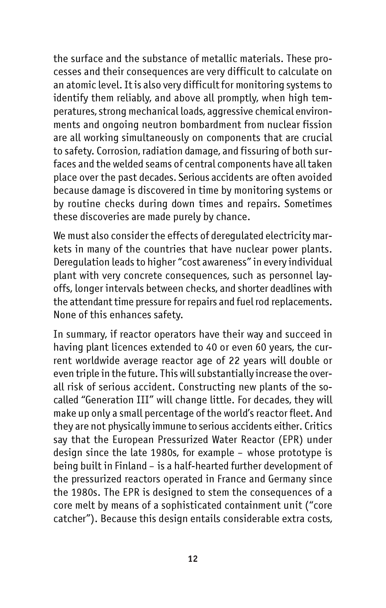the surface and the substance of metallic materials. These processes and their consequences are very difficult to calculate on an atomic level. It is also very difficult for monitoring systems to identify them reliably, and above all promptly, when high temperatures, strong mechanical loads, aggressive chemical environments and ongoing neutron bombardment from nuclear fission are all working simultaneously on components that are crucial to safety. Corrosion, radiation damage, and fissuring of both surfaces and the welded seams of central components have all taken place over the past decades. Serious accidents are often avoided because damage is discovered in time by monitoring systems or by routine checks during down times and repairs. Sometimes these discoveries are made purely by chance.

We must also consider the effects of derequlated electricity markets in many of the countries that have nuclear power plants. Deregulation leads to higher "cost awareness" in every individual plant with very concrete consequences, such as personnel layoffs, longer intervals between checks, and shorter deadlines with the attendant time pressure for repairs and fuel rod replacements. None of this enhances safety.

In summary, if reactor operators have their way and succeed in having plant licences extended to 40 or even 60 years, the current worldwide average reactor age of 22 years will double or even triple in the future. This will substantially increase the overall risk of serious accident. Constructing new plants of the socalled "Generation III" will change little. For decades, they will make up only a small percentage of the world's reactor fleet. And they are not physically immune to serious accidents either. Critics say that the European Pressurized Water Reactor (EPR) under design since the late 1980s, for example - whose prototype is being built in Finland - is a half-hearted further development of the pressurized reactors operated in France and Germany since the 1980s. The EPR is designed to stem the consequences of a core melt by means of a sophisticated containment unit ("core catcher"). Because this design entails considerable extra costs,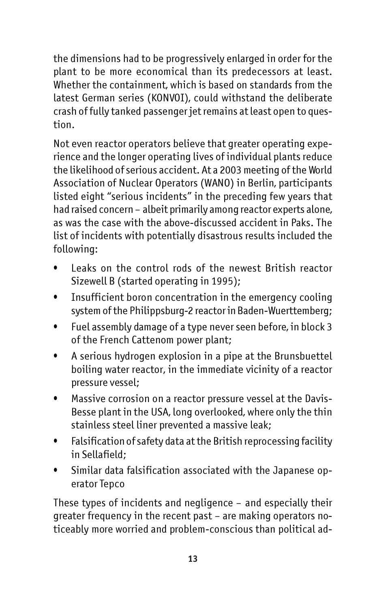the dimensions had to be progressively enlarged in order for the plant to be more economical than its predecessors at least. Whether the containment, which is based on standards from the latest German series (KONVOI), could withstand the deliberate crash of fully tanked passenger jet remains at least open to question.

Not even reactor operators believe that greater operating experience and the longer operating lives of individual plants reduce the likelihood of serious accident. At a 2003 meeting of the World Association of Nuclear Operators (WANO) in Berlin, participants listed eight "serious incidents" in the preceding few years that had raised concern - albeit primarily among reactor experts alone. as was the case with the above-discussed accident in Paks. The list of incidents with potentially disastrous results included the following:

- Leaks on the control rods of the newest British reactor Sizewell B (started operating in 1995);
- $\bullet$ Insufficient boron concentration in the emergency cooling system of the Philippsburg-2 reactor in Baden-Wuerttemberg;
- Fuel assembly damage of a type never seen before, in block 3  $\bullet$ of the French Cattenom power plant;
- A serious hydrogen explosion in a pipe at the Brunsbuettel  $\bullet$ boiling water reactor, in the immediate vicinity of a reactor pressure vessel:
- Massive corrosion on a reactor pressure vessel at the Davis-Besse plant in the USA, long overlooked, where only the thin stainless steel liner prevented a massive leak;
- Falsification of safety data at the British reprocessing facility  $\bullet$ in Sellafield:
- Similar data falsification associated with the Japanese op- $\bullet$ erator Tepco

These types of incidents and negligence - and especially their greater frequency in the recent past - are making operators noticeably more worried and problem-conscious than political ad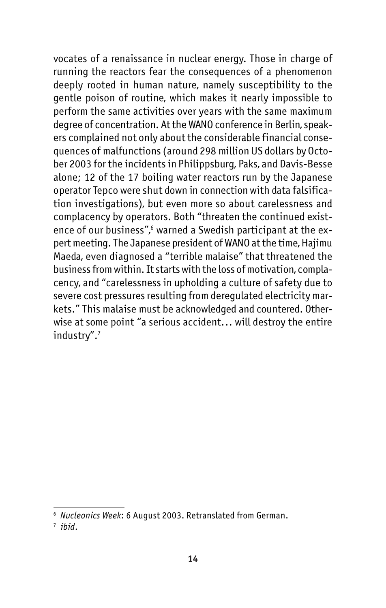vocates of a renaissance in nuclear energy. Those in charge of running the reactors fear the consequences of a phenomenon deeply rooted in human nature, namely susceptibility to the gentle poison of routine, which makes it nearly impossible to perform the same activities over years with the same maximum degree of concentration. At the WANO conference in Berlin, speakers complained not only about the considerable financial consequences of malfunctions (around 298 million US dollars by October 2003 for the incidents in Philippsburg, Paks, and Davis-Besse alone: 12 of the 17 boiling water reactors run by the Japanese operator Tepco were shut down in connection with data falsification investigations), but even more so about carelessness and complacency by operators. Both "threaten the continued existence of our business", warned a Swedish participant at the expert meeting. The Japanese president of WANO at the time, Hajimu Maeda, even diagnosed a "terrible malaise" that threatened the business from within. It starts with the loss of motivation, complacency, and "carelessness in upholding a culture of safety due to severe cost pressures resulting from deregulated electricity markets." This malaise must be acknowledged and countered. Otherwise at some point "a serious accident... will destroy the entire industry".<sup>7</sup>

<sup>&</sup>lt;sup>6</sup> Nucleonics Week: 6 August 2003. Retranslated from German.

 $7$  ibid.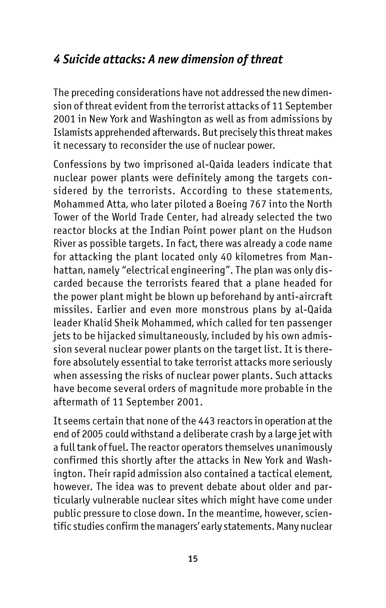# 4 Suicide attacks: A new dimension of threat

The preceding considerations have not addressed the new dimension of threat evident from the terrorist attacks of 11 September 2001 in New York and Washington as well as from admissions by Islamists apprehended afterwards. But precisely this threat makes it necessary to reconsider the use of nuclear power.

Confessions by two imprisoned al-Qaida leaders indicate that nuclear power plants were definitely among the targets considered by the terrorists. According to these statements, Mohammed Atta, who later piloted a Boeing 767 into the North Tower of the World Trade Center, had already selected the two reactor blocks at the Indian Point power plant on the Hudson River as possible targets. In fact, there was already a code name for attacking the plant located only 40 kilometres from Manhattan, namely "electrical engineering". The plan was only discarded because the terrorists feared that a plane headed for the power plant might be blown up beforehand by anti-aircraft missiles. Earlier and even more monstrous plans by al-Qaida leader Khalid Sheik Mohammed, which called for ten passenger jets to be hijacked simultaneously, included by his own admission several nuclear power plants on the target list. It is therefore absolutely essential to take terrorist attacks more seriously when assessing the risks of nuclear power plants. Such attacks have become several orders of magnitude more probable in the aftermath of 11 September 2001.

It seems certain that none of the 443 reactors in operation at the end of 2005 could withstand a deliberate crash by a large jet with a full tank of fuel. The reactor operators themselves unanimously confirmed this shortly after the attacks in New York and Washington. Their rapid admission also contained a tactical element, however. The idea was to prevent debate about older and particularly vulnerable nuclear sites which might have come under public pressure to close down. In the meantime, however, scientific studies confirm the managers' early statements. Many nuclear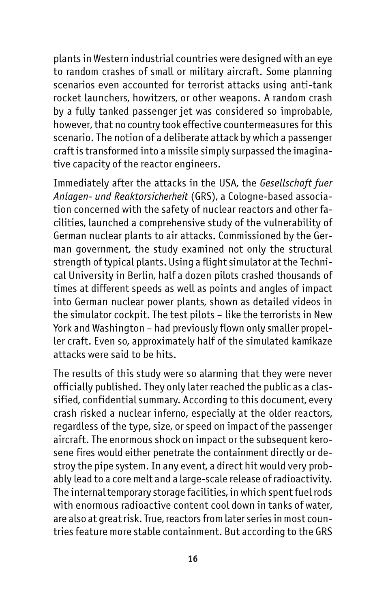plants in Western industrial countries were designed with an eve to random crashes of small or military aircraft. Some planning scenarios even accounted for terrorist attacks using anti-tank rocket launchers, howitzers, or other weapons. A random crash by a fully tanked passenger jet was considered so improbable, however, that no country took effective countermeasures for this scenario. The notion of a deliberate attack by which a passenger craft is transformed into a missile simply surpassed the imaginative capacity of the reactor engineers.

Immediately after the attacks in the USA, the Gesellschaft fuer Anlagen- und Reaktorsicherheit (GRS), a Cologne-based association concerned with the safety of nuclear reactors and other facilities, launched a comprehensive study of the vulnerability of German nuclear plants to air attacks. Commissioned by the German government, the study examined not only the structural strength of typical plants. Using a flight simulator at the Technical University in Berlin, half a dozen pilots crashed thousands of times at different speeds as well as points and angles of impact into German nuclear power plants, shown as detailed videos in the simulator cockpit. The test pilots - like the terrorists in New York and Washington - had previously flown only smaller propeller craft. Even so, approximately half of the simulated kamikaze attacks were said to be hits.

The results of this study were so alarming that they were never officially published. They only later reached the public as a classified, confidential summary. According to this document, every crash risked a nuclear inferno, especially at the older reactors, regardless of the type, size, or speed on impact of the passenger aircraft. The enormous shock on impact or the subsequent kerosene fires would either penetrate the containment directly or destroy the pipe system. In any event, a direct hit would very probably lead to a core melt and a large-scale release of radioactivity. The internal temporary storage facilities, in which spent fuel rods with enormous radioactive content cool down in tanks of water. are also at great risk. True, reactors from later series in most countries feature more stable containment. But according to the GRS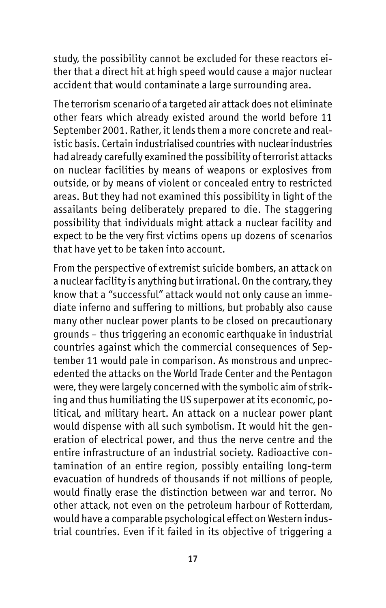study, the possibility cannot be excluded for these reactors either that a direct hit at high speed would cause a major nuclear accident that would contaminate a large surrounding area.

The terrorism scenario of a targeted air attack does not eliminate other fears which already existed around the world before 11 September 2001. Rather, it lends them a more concrete and realistic basis. Certain industrialised countries with nuclear industries had already carefully examined the possibility of terrorist attacks on nuclear facilities by means of weapons or explosives from outside, or by means of violent or concealed entry to restricted areas. But they had not examined this possibility in light of the assailants being deliberately prepared to die. The staggering possibility that individuals might attack a nuclear facility and expect to be the very first victims opens up dozens of scenarios that have vet to be taken into account.

From the perspective of extremist suicide bombers, an attack on a nuclear facility is anything but irrational. On the contrary, they know that a "successful" attack would not only cause an immediate inferno and suffering to millions, but probably also cause many other nuclear power plants to be closed on precautionary grounds - thus triggering an economic earthquake in industrial countries against which the commercial consequences of September 11 would pale in comparison. As monstrous and unprecedented the attacks on the World Trade Center and the Pentagon were, they were largely concerned with the symbolic aim of striking and thus humiliating the US superpower at its economic, political, and military heart. An attack on a nuclear power plant would dispense with all such symbolism. It would hit the generation of electrical power, and thus the nerve centre and the entire infrastructure of an industrial society. Radioactive contamination of an entire region, possibly entailing long-term evacuation of hundreds of thousands if not millions of people, would finally erase the distinction between war and terror. No other attack, not even on the petroleum harbour of Rotterdam, would have a comparable psychological effect on Western industrial countries. Even if it failed in its obiective of triggering a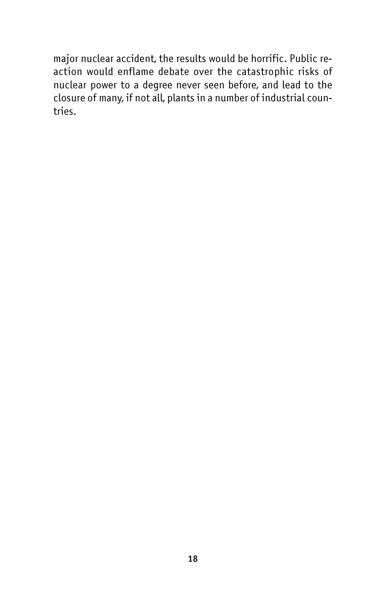major nuclear accident, the results would be horrific. Public reaction would enflame debate over the catastrophic risks of nuclear power to a degree never seen before, and lead to the closure of many, if not all, plants in a number of industrial countries.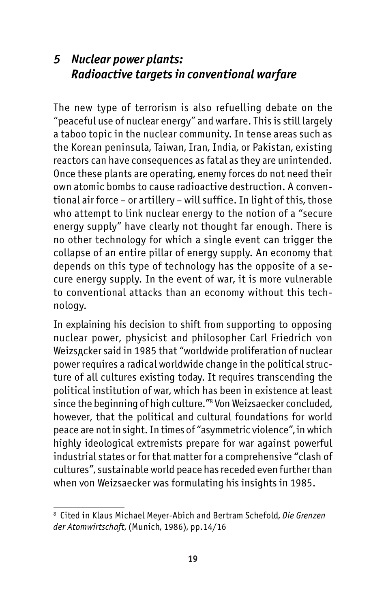#### 5 Nuclear power plants: Radioactive targets in conventional warfare

The new type of terrorism is also refuelling debate on the "peaceful use of nuclear energy" and warfare. This is still largely a taboo topic in the nuclear community. In tense areas such as the Korean peninsula, Taiwan, Iran, India, or Pakistan, existing reactors can have consequences as fatal as they are unintended. Once these plants are operating, enemy forces do not need their own atomic bombs to cause radioactive destruction. A conventional air force - or artillery - will suffice. In light of this, those who attempt to link nuclear energy to the notion of a "secure energy supply" have clearly not thought far enough. There is no other technology for which a single event can trigger the collapse of an entire pillar of energy supply. An economy that depends on this type of technology has the opposite of a secure energy supply. In the event of war, it is more vulnerable to conventional attacks than an economy without this technology.

In explaining his decision to shift from supporting to opposing nuclear power, physicist and philosopher Carl Friedrich von Weizs gcker said in 1985 that "worldwide proliferation of nuclear power requires a radical worldwide change in the political structure of all cultures existing today. It requires transcending the political institution of war, which has been in existence at least since the beginning of high culture."<sup>8</sup> Von Weizsaecker concluded, however, that the political and cultural foundations for world peace are not in sight. In times of "asymmetric violence", in which highly ideological extremists prepare for war against powerful industrial states or for that matter for a comprehensive "clash of cultures", sustainable world peace has receded even further than when von Weizsaecker was formulating his insights in 1985.

<sup>&</sup>lt;sup>8</sup> Cited in Klaus Michael Meyer-Abich and Bertram Schefold, Die Grenzen der Atomwirtschaft, (Munich, 1986), pp.14/16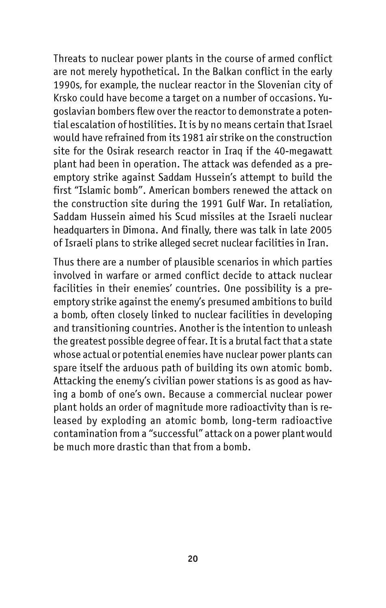Threats to nuclear power plants in the course of armed conflict are not merely hypothetical. In the Balkan conflict in the early 1990s, for example, the nuclear reactor in the Slovenian city of Krsko could have become a target on a number of occasions. Yugoslavian bombers flew over the reactor to demonstrate a potential escalation of hostilities. It is by no means certain that Israel would have refrained from its 1981 air strike on the construction site for the Osirak research reactor in Irag if the 40-megawatt plant had been in operation. The attack was defended as a preemptory strike against Saddam Hussein's attempt to build the first "Islamic bomb". American bombers renewed the attack on the construction site during the 1991 Gulf War. In retaliation, Saddam Hussein aimed his Scud missiles at the Israeli nuclear headquarters in Dimona. And finally, there was talk in late 2005 of Israeli plans to strike alleged secret nuclear facilities in Iran.

Thus there are a number of plausible scenarios in which parties involved in warfare or armed conflict decide to attack nuclear facilities in their enemies' countries. One possibility is a preemptory strike against the enemy's presumed ambitions to build a bomb, often closely linked to nuclear facilities in developing and transitioning countries. Another is the intention to unleash the greatest possible degree of fear. It is a brutal fact that a state whose actual or potential enemies have nuclear power plants can spare itself the arduous path of building its own atomic bomb. Attacking the enemy's civilian power stations is as good as having a bomb of one's own. Because a commercial nuclear power plant holds an order of magnitude more radioactivity than is released by exploding an atomic bomb, long-term radioactive contamination from a "successful" attack on a power plant would be much more drastic than that from a bomb.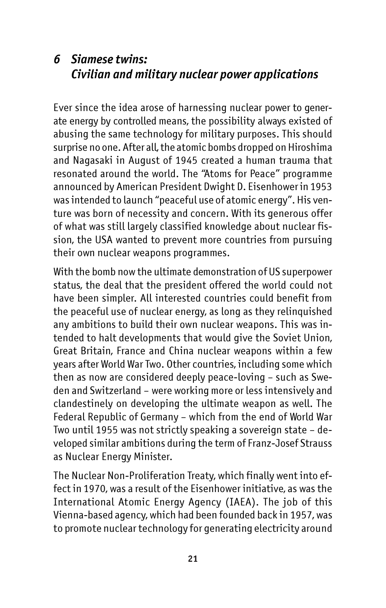# 6 Siamese twins: Civilian and military nuclear power applications

Ever since the idea arose of harnessing nuclear power to generate energy by controlled means, the possibility always existed of abusing the same technology for military purposes. This should surprise no one. After all, the atomic bombs dropped on Hiroshima and Nagasaki in August of 1945 created a human trauma that resonated around the world. The "Atoms for Peace" programme announced by American President Dwight D. Eisenhower in 1953 was intended to launch "peaceful use of atomic energy". His venture was born of necessity and concern. With its generous offer of what was still largely classified knowledge about nuclear fission, the USA wanted to prevent more countries from pursuing their own nuclear weapons programmes.

With the bomb now the ultimate demonstration of US superpower status, the deal that the president offered the world could not have been simpler. All interested countries could benefit from the peaceful use of nuclear energy, as long as they relinguished any ambitions to build their own nuclear weapons. This was intended to halt developments that would give the Soviet Union, Great Britain, France and China nuclear weapons within a few vears after World War Two. Other countries, including some which then as now are considered deeply peace-loving - such as Sweden and Switzerland - were working more or less intensively and clandestinely on developing the ultimate weapon as well. The Federal Republic of Germany - which from the end of World War Two until 1955 was not strictly speaking a sovereign state - developed similar ambitions during the term of Franz-Josef Strauss as Nuclear Energy Minister.

The Nuclear Non-Proliferation Treaty, which finally went into effect in 1970, was a result of the Eisenhower initiative, as was the International Atomic Energy Agency (IAEA). The job of this Vienna-based agency, which had been founded back in 1957, was to promote nuclear technology for generating electricity around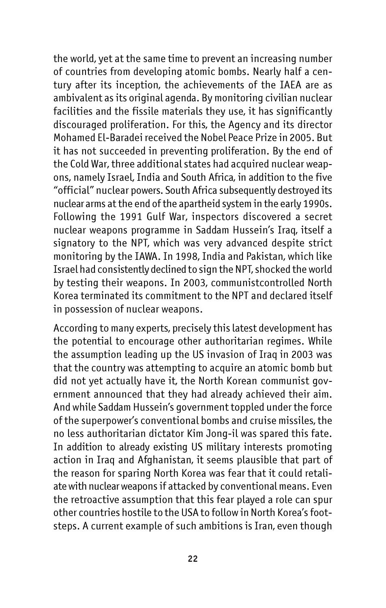the world, yet at the same time to prevent an increasing number of countries from developing atomic bombs. Nearly half a century after its inception, the achievements of the IAEA are as ambivalent as its original agenda. By monitoring civilian nuclear facilities and the fissile materials they use, it has significantly discouraged proliferation. For this, the Agency and its director Mohamed El-Baradei received the Nobel Peace Prize in 2005. But it has not succeeded in preventing proliferation. By the end of the Cold War, three additional states had acquired nuclear weapons, namely Israel, India and South Africa, in addition to the five "official" nuclear powers. South Africa subsequently destroved its nuclear arms at the end of the apartheid system in the early 1990s. Following the 1991 Gulf War, inspectors discovered a secret nuclear weapons programme in Saddam Hussein's Iraq, itself a signatory to the NPT, which was very advanced despite strict monitoring by the IAWA. In 1998, India and Pakistan, which like Israel had consistently declined to sign the NPT, shocked the world by testing their weapons. In 2003, communist controlled North Korea terminated its commitment to the NPT and declared itself in possession of nuclear weapons.

According to many experts, precisely this latest development has the potential to encourage other authoritarian regimes. While the assumption leading up the US invasion of Irag in 2003 was that the country was attempting to acquire an atomic bomb but did not yet actually have it, the North Korean communist government announced that they had already achieved their aim. And while Saddam Hussein's government toppled under the force of the superpower's conventional bombs and cruise missiles, the no less authoritarian dictator Kim Jong-il was spared this fate. In addition to already existing US military interests promoting action in Iraq and Afghanistan, it seems plausible that part of the reason for sparing North Korea was fear that it could retaliate with nuclear weapons if attacked by conventional means. Even the retroactive assumption that this fear played a role can spur other countries hostile to the USA to follow in North Korea's footsteps. A current example of such ambitions is Iran, even though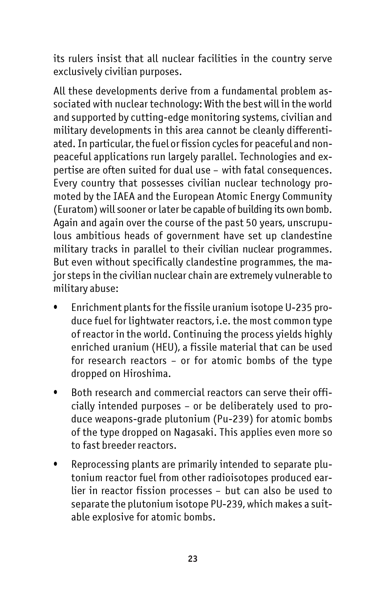its rulers insist that all nuclear facilities in the country serve exclusively civilian purposes.

All these developments derive from a fundamental problem associated with nuclear technology: With the best will in the world and supported by cutting-edge monitoring systems, civilian and military developments in this area cannot be cleanly differentiated. In particular, the fuel or fission cycles for peaceful and nonpeaceful applications run largely parallel. Technologies and expertise are often suited for dual use - with fatal consequences. Every country that possesses civilian nuclear technology promoted by the IAEA and the European Atomic Energy Community (Euratom) will sooner or later be capable of building its own bomb. Again and again over the course of the past 50 years, unscrupulous ambitious heads of government have set up clandestine military tracks in parallel to their civilian nuclear programmes. But even without specifically clandestine programmes, the major steps in the civilian nuclear chain are extremely vulnerable to military abuse:

- Enrichment plants for the fissile uranium isotope U-235 produce fuel for lightwater reactors, i.e. the most common type of reactor in the world. Continuing the process vields highly enriched uranium (HEU), a fissile material that can be used for research reactors - or for atomic bombs of the type dropped on Hiroshima.
- Both research and commercial reactors can serve their offi- $\bullet$ cially intended purposes - or be deliberately used to produce weapons-grade plutonium (Pu-239) for atomic bombs of the type dropped on Nagasaki. This applies even more so to fast breeder reactors.
- Reprocessing plants are primarily intended to separate plu- $\bullet$ tonium reactor fuel from other radioisotopes produced earlier in reactor fission processes - but can also be used to separate the plutonium isotope PU-239, which makes a suitable explosive for atomic bombs.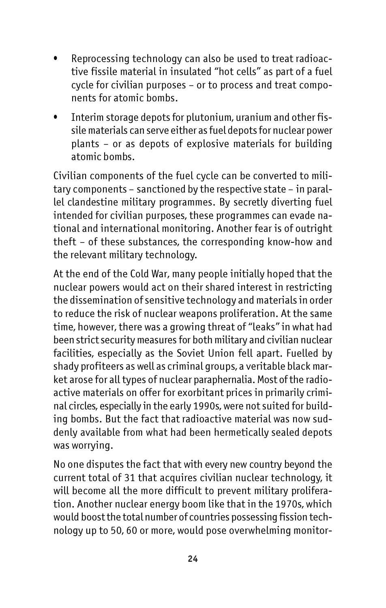- Reprocessing technology can also be used to treat radioactive fissile material in insulated "hot cells" as part of a fuel cycle for civilian purposes - or to process and treat components for atomic bombs.
- Interim storage depots for plutonium, uranium and other fis- $\bullet$ sile materials can serve either as fuel depots for nuclear power plants - or as depots of explosive materials for building atomic hombs

Civilian components of the fuel cycle can be converted to military components - sanctioned by the respective state - in parallel clandestine military programmes. By secretly diverting fuel intended for civilian purposes, these programmes can evade national and international monitoring. Another fear is of outright theft - of these substances, the corresponding know-how and the relevant military technology.

At the end of the Cold War, many people initially hoped that the nuclear powers would act on their shared interest in restricting the dissemination of sensitive technology and materials in order to reduce the risk of nuclear weapons proliferation. At the same time, however, there was a growing threat of "leaks" in what had been strict security measures for both military and civilian nuclear facilities, especially as the Soviet Union fell apart. Fuelled by shady profiteers as well as criminal groups, a veritable black market arose for all types of nuclear paraphernalia. Most of the radioactive materials on offer for exorbitant prices in primarily criminal circles, especially in the early 1990s, were not suited for building bombs. But the fact that radioactive material was now suddenly available from what had been hermetically sealed depots was worrying.

No one disputes the fact that with every new country beyond the current total of 31 that acquires civilian nuclear technology, it will become all the more difficult to prevent military proliferation. Another nuclear energy boom like that in the 1970s, which would boost the total number of countries possessing fission technology up to 50, 60 or more, would pose overwhelming monitor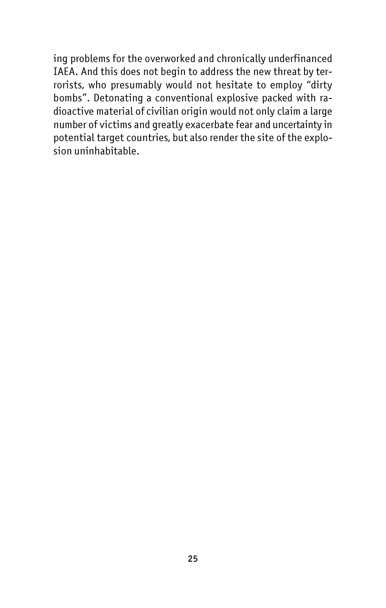ing problems for the overworked and chronically underfinanced IAEA. And this does not begin to address the new threat by terrorists, who presumably would not hesitate to employ "dirty bombs". Detonating a conventional explosive packed with radioactive material of civilian origin would not only claim a large number of victims and greatly exacerbate fear and uncertainty in potential target countries, but also render the site of the explosion uninhabitable.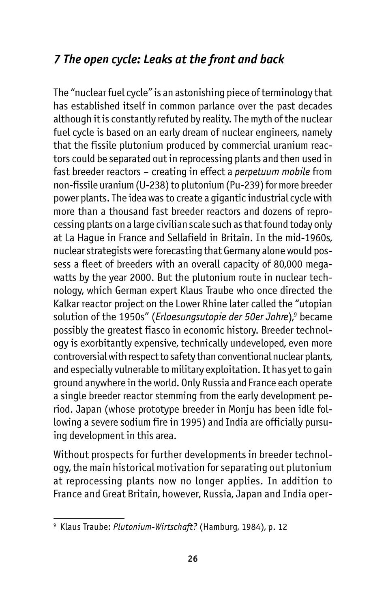# 7 The open cycle: Leaks at the front and back

The "nuclear fuel cycle" is an astonishing piece of terminology that has established itself in common parlance over the past decades although it is constantly refuted by reality. The myth of the nuclear fuel cycle is based on an early dream of nuclear engineers, namely that the fissile plutonium produced by commercial uranium reactors could be separated out in reprocessing plants and then used in fast breeder reactors - creating in effect a perpetuum mobile from non-fissile uranium (U-238) to plutonium (Pu-239) for more breeder power plants. The idea was to create a gigantic industrial cycle with more than a thousand fast breeder reactors and dozens of reprocessing plants on a large civilian scale such as that found today only at La Haque in France and Sellafield in Britain. In the mid-1960s, nuclear strategists were forecasting that Germany alone would possess a fleet of breeders with an overall capacity of 80,000 megawatts by the year 2000. But the plutonium route in nuclear technology, which German expert Klaus Traube who once directed the Kalkar reactor project on the Lower Rhine later called the "utopian solution of the 1950s" (Erloesungsutopie der 50er Jahre).<sup>9</sup> became possibly the greatest fiasco in economic history. Breeder technology is exorbitantly expensive, technically undeveloped, even more controversial with respect to safety than conventional nuclear plants, and especially vulnerable to military exploitation. It has yet to gain ground anywhere in the world. Only Russia and France each operate a single breeder reactor stemming from the early development period. Japan (whose prototype breeder in Monju has been idle following a severe sodium fire in 1995) and India are officially pursuing development in this area.

Without prospects for further developments in breeder technology, the main historical motivation for separating out plutonium at reprocessing plants now no longer applies. In addition to France and Great Britain, however, Russia, Japan and India oper-

<sup>&</sup>lt;sup>9</sup> Klaus Traube: *Plutonium-Wirtschaft?* (Hamburg, 1984), p. 12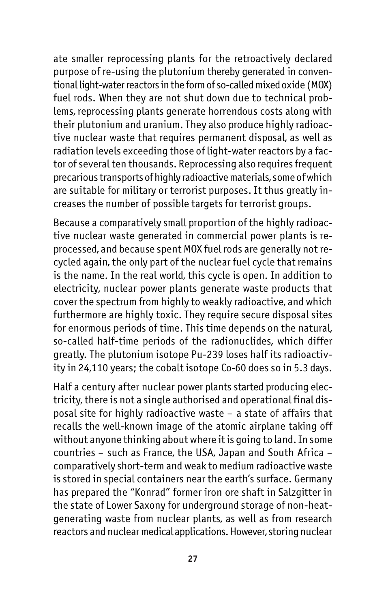ate smaller reprocessing plants for the retroactively declared purpose of re-using the plutonium thereby generated in conventional light-water reactors in the form of so-called mixed oxide (MOX) fuel rods. When they are not shut down due to technical problems, reprocessing plants generate horrendous costs along with their plutonium and uranium. They also produce highly radioactive nuclear waste that requires permanent disposal, as well as radiation levels exceeding those of light-water reactors by a factor of several ten thousands. Reprocessing also requires frequent precarious transports of highly radioactive materials, some of which are suitable for military or terrorist purposes. It thus greatly increases the number of possible targets for terrorist groups.

Because a comparatively small proportion of the highly radioactive nuclear waste generated in commercial power plants is reprocessed, and because spent MOX fuel rods are generally not recycled again, the only part of the nuclear fuel cycle that remains is the name. In the real world, this cycle is open. In addition to electricity, nuclear power plants generate waste products that cover the spectrum from highly to weakly radioactive, and which furthermore are highly toxic. They require secure disposal sites for enormous periods of time. This time depends on the natural, so-called half-time periods of the radionuclides, which differ areatly. The plutonium isotope Pu-239 loses half its radioactivity in 24.110 years: the cobalt isotope Co-60 does so in 5.3 days.

Half a century after nuclear power plants started producing electricity, there is not a single authorised and operational final disposal site for highly radioactive waste - a state of affairs that recalls the well-known image of the atomic airplane taking off without anyone thinking about where it is going to land. In some countries - such as France, the USA, Japan and South Africa comparatively short-term and weak to medium radioactive waste is stored in special containers near the earth's surface. Germany has prepared the "Konrad" former iron ore shaft in Salzgitter in the state of Lower Saxony for underground storage of non-heatgenerating waste from nuclear plants, as well as from research reactors and nuclear medical applications. However, storing nuclear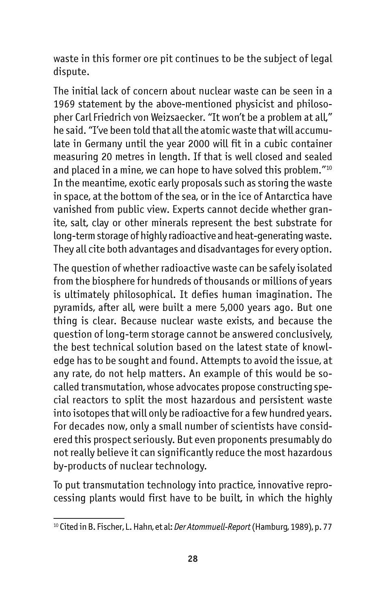waste in this former ore pit continues to be the subject of legal dispute.

The initial lack of concern about nuclear waste can be seen in a 1969 statement by the above-mentioned physicist and philosopher Carl Friedrich von Weizsaecker. "It won't be a problem at all," he said. "I've been told that all the atomic waste that will accumulate in Germany until the year 2000 will fit in a cubic container measuring 20 metres in length. If that is well closed and sealed and placed in a mine, we can hope to have solved this problem."<sup>10</sup> In the meantime, exotic early proposals such as storing the waste in space, at the bottom of the sea, or in the ice of Antarctica have vanished from public view. Experts cannot decide whether granite, salt, clay or other minerals represent the best substrate for long-term storage of highly radioactive and heat-generating waste. They all cite both advantages and disadvantages for every option.

The question of whether radioactive waste can be safely isolated from the biosphere for hundreds of thousands or millions of years is ultimately philosophical. It defies human imagination. The pyramids, after all, were built a mere 5,000 years ago. But one thing is clear. Because nuclear waste exists, and because the question of long-term storage cannot be answered conclusively, the best technical solution based on the latest state of knowledge has to be sought and found. Attempts to avoid the issue, at any rate, do not help matters. An example of this would be socalled transmutation, whose advocates propose constructing special reactors to split the most hazardous and persistent waste into isotopes that will only be radioactive for a few hundred years. For decades now, only a small number of scientists have considered this prospect seriously. But even proponents presumably do not really believe it can significantly reduce the most hazardous by-products of nuclear technology.

To put transmutation technology into practice, innovative reprocessing plants would first have to be built, in which the highly

<sup>&</sup>lt;sup>10</sup> Cited in B. Fischer, L. Hahn, et al: Der Atommuell-Report (Hamburg, 1989), p. 77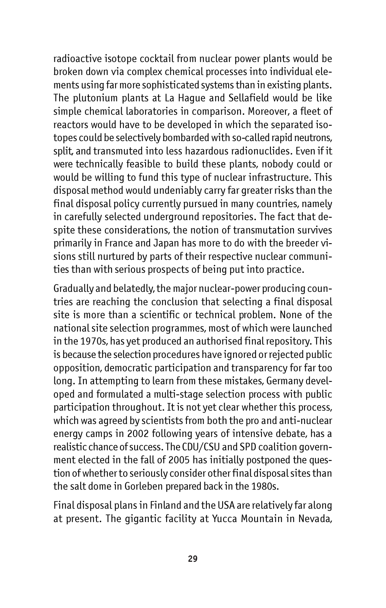radioactive isotope cocktail from nuclear power plants would be broken down via complex chemical processes into individual elements using far more sophisticated systems than in existing plants. The plutonium plants at La Haque and Sellafield would be like simple chemical laboratories in comparison. Moreover, a fleet of reactors would have to be developed in which the separated isotopes could be selectively bombarded with so-called rapid neutrons, split, and transmuted into less hazardous radionuclides. Even if it were technically feasible to build these plants, nobody could or would be willing to fund this type of nuclear infrastructure. This disposal method would undeniably carry far greater risks than the final disposal policy currently pursued in many countries, namely in carefully selected underground repositories. The fact that despite these considerations, the notion of transmutation survives primarily in France and Japan has more to do with the breeder visions still nurtured by parts of their respective nuclear communities than with serious prospects of being put into practice.

Gradually and belatedly, the major nuclear-power producing countries are reaching the conclusion that selecting a final disposal site is more than a scientific or technical problem. None of the national site selection programmes, most of which were launched in the 1970s, has yet produced an authorised final repository. This is because the selection procedures have ignored or rejected public opposition, democratic participation and transparency for far too long. In attempting to learn from these mistakes, Germany developed and formulated a multi-stage selection process with public participation throughout. It is not yet clear whether this process, which was agreed by scientists from both the pro and anti-nuclear energy camps in 2002 following years of intensive debate, has a realistic chance of success. The CDU/CSU and SPD coalition government elected in the fall of 2005 has initially postponed the question of whether to seriously consider other final disposal sites than the salt dome in Gorleben prepared back in the 1980s.

Final disposal plans in Finland and the USA are relatively far along at present. The gigantic facility at Yucca Mountain in Nevada,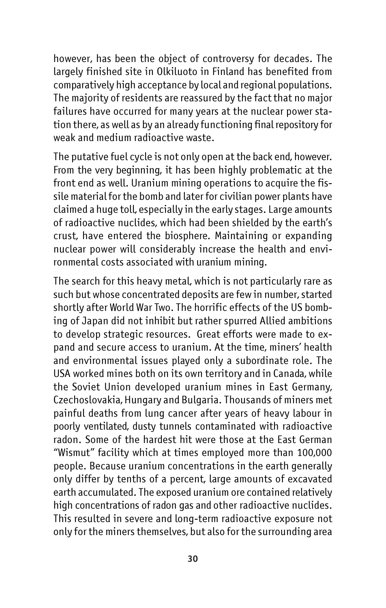however, has been the object of controversy for decades. The largely finished site in Olkiluoto in Finland has benefited from comparatively high acceptance by local and regional populations. The majority of residents are reassured by the fact that no major failures have occurred for many years at the nuclear power station there, as well as by an already functioning final repository for weak and medium radioactive waste.

The putative fuel cycle is not only open at the back end, however. From the very beginning, it has been highly problematic at the front end as well. Uranium mining operations to acquire the fissile material for the bomb and later for civilian power plants have claimed a huge toll, especially in the early stages. Large amounts of radioactive nuclides, which had been shielded by the earth's crust, have entered the biosphere. Maintaining or expanding nuclear power will considerably increase the health and environmental costs associated with uranium mining.

The search for this heavy metal, which is not particularly rare as such but whose concentrated deposits are few in number, started shortly after World War Two. The horrific effects of the US bombing of Japan did not inhibit but rather spurred Allied ambitions to develop strategic resources. Great efforts were made to expand and secure access to uranium. At the time, miners' health and environmental issues played only a subordinate role. The USA worked mines both on its own territory and in Canada, while the Soviet Union developed uranium mines in East Germany, Czechoslovakia, Hungary and Bulgaria. Thousands of miners met painful deaths from lung cancer after years of heavy labour in poorly ventilated, dusty tunnels contaminated with radioactive radon. Some of the hardest hit were those at the East German "Wismut" facility which at times employed more than 100,000 people. Because uranium concentrations in the earth generally only differ by tenths of a percent, large amounts of excavated earth accumulated. The exposed uranium ore contained relatively high concentrations of radon gas and other radioactive nuclides. This resulted in severe and long-term radioactive exposure not only for the miners themselves, but also for the surrounding area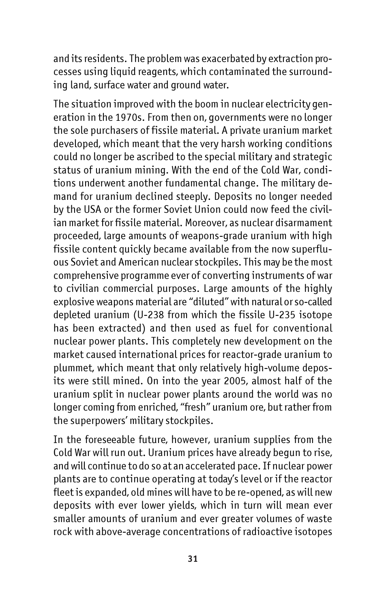and its residents. The problem was exacerbated by extraction processes using liquid reagents, which contaminated the surrounding land, surface water and ground water.

The situation improved with the boom in nuclear electricity generation in the 1970s. From then on, governments were no longer the sole purchasers of fissile material. A private uranium market developed, which meant that the very harsh working conditions could no longer be ascribed to the special military and strategic status of uranium mining. With the end of the Cold War, conditions underwent another fundamental change. The military demand for uranium declined steeply. Deposits no longer needed by the USA or the former Soviet Union could now feed the civilian market for fissile material. Moreover, as nuclear disarmament proceeded, large amounts of weapons-grade uranium with high fissile content quickly became available from the now superfluous Soviet and American nuclear stockpiles. This may be the most comprehensive programme ever of converting instruments of war to civilian commercial purposes. Large amounts of the highly explosive weapons material are "diluted" with natural or so-called depleted uranium (U-238 from which the fissile U-235 isotope has been extracted) and then used as fuel for conventional nuclear power plants. This completely new development on the market caused international prices for reactor-grade uranium to plummet, which meant that only relatively high-volume deposits were still mined. On into the year 2005, almost half of the uranium split in nuclear power plants around the world was no longer coming from enriched, "fresh" uranium ore, but rather from the superpowers' military stockpiles.

In the foreseeable future, however, uranium supplies from the Cold War will run out. Uranium prices have already begun to rise, and will continue to do so at an accelerated pace. If nuclear power plants are to continue operating at today's level or if the reactor fleet is expanded, old mines will have to be re-opened, as will new deposits with ever lower yields, which in turn will mean ever smaller amounts of uranium and ever greater volumes of waste rock with above-average concentrations of radioactive isotopes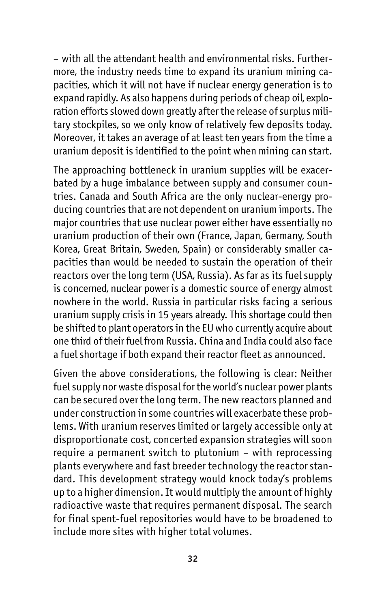- with all the attendant health and environmental risks. Furthermore, the industry needs time to expand its uranium mining capacities, which it will not have if nuclear energy generation is to expand rapidly. As also happens during periods of cheap oil, exploration efforts slowed down greatly after the release of surplus military stockpiles, so we only know of relatively few deposits today. Moreover, it takes an average of at least ten years from the time a uranium deposit is identified to the point when mining can start.

The approaching bottleneck in uranium supplies will be exacerbated by a huge imbalance between supply and consumer countries. Canada and South Africa are the only nuclear-energy producing countries that are not dependent on uranium imports. The major countries that use nuclear power either have essentially no uranium production of their own (France, Japan, Germany, South Korea, Great Britain, Sweden, Spain) or considerably smaller capacities than would be needed to sustain the operation of their reactors over the long term (USA, Russia). As far as its fuel supply is concerned, nuclear power is a domestic source of energy almost nowhere in the world. Russia in particular risks facing a serious uranium supply crisis in 15 years already. This shortage could then be shifted to plant operators in the EU who currently acquire about one third of their fuel from Russia. China and India could also face a fuel shortage if both expand their reactor fleet as announced.

Given the above considerations, the following is clear: Neither fuel supply nor waste disposal for the world's nuclear power plants can be secured over the long term. The new reactors planned and under construction in some countries will exacerbate these problems. With uranium reserves limited or largely accessible only at disproportionate cost, concerted expansion strategies will soon require a permanent switch to plutonium - with reprocessing plants everywhere and fast breeder technology the reactor standard. This development strategy would knock today's problems up to a higher dimension. It would multiply the amount of highly radioactive waste that requires permanent disposal. The search for final spent-fuel repositories would have to be broadened to include more sites with higher total volumes.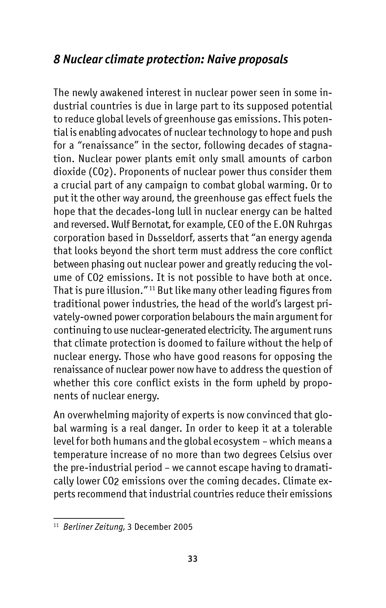#### 8 Nuclear climate protection: Naive proposals

The newly awakened interest in nuclear power seen in some industrial countries is due in large part to its supposed potential to reduce global levels of greenhouse gas emissions. This potential is enabling advocates of nuclear technology to hope and push for a "renaissance" in the sector, following decades of stagnation. Nuclear power plants emit only small amounts of carbon dioxide (CO2). Proponents of nuclear power thus consider them a crucial part of any campaign to combat global warming. Or to put it the other way around, the greenhouse gas effect fuels the hope that the decades-long lull in nuclear energy can be halted and reversed. Wulf Bernotat, for example, CEO of the E.ON Ruhrgas corporation based in Dbsseldorf, asserts that "an energy agenda that looks beyond the short term must address the core conflict between phasing out nuclear power and greatly reducing the volume of CO<sub>2</sub> emissions. It is not possible to have both at once. That is pure illusion."<sup>11</sup> But like many other leading figures from traditional power industries, the head of the world's largest privately-owned power corporation belabours the main argument for continuing to use nuclear-generated electricity. The argument runs that climate protection is doomed to failure without the help of nuclear energy. Those who have good reasons for opposing the renaissance of nuclear power now have to address the question of whether this core conflict exists in the form upheld by proponents of nuclear energy.

An overwhelming majority of experts is now convinced that global warming is a real danger. In order to keep it at a tolerable level for both humans and the global ecosystem - which means a temperature increase of no more than two degrees Celsius over the pre-industrial period - we cannot escape having to dramatically lower CO<sub>2</sub> emissions over the coming decades. Climate experts recommend that industrial countries reduce their emissions

<sup>&</sup>lt;sup>11</sup> Berliner Zeitung, 3 December 2005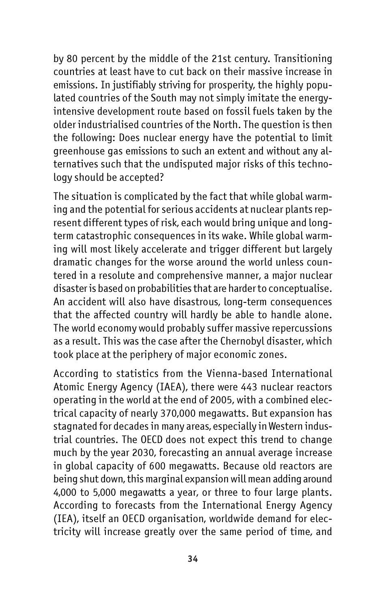by 80 percent by the middle of the 21st century. Transitioning countries at least have to cut back on their massive increase in emissions. In justifiably striving for prosperity, the highly populated countries of the South may not simply imitate the energyintensive development route based on fossil fuels taken by the older industrialised countries of the North. The question is then the following: Does nuclear energy have the potential to limit greenhouse gas emissions to such an extent and without any alternatives such that the undisputed major risks of this technology should be accepted?

The situation is complicated by the fact that while global warming and the potential for serious accidents at nuclear plants represent different types of risk, each would bring unique and longterm catastrophic consequences in its wake. While global warming will most likely accelerate and trigger different but largely dramatic changes for the worse around the world unless countered in a resolute and comprehensive manner, a major nuclear disaster is based on probabilities that are harder to conceptualise. An accident will also have disastrous, long-term consequences that the affected country will hardly be able to handle alone. The world economy would probably suffer massive repercussions as a result. This was the case after the Chernobyl disaster, which took place at the periphery of major economic zones.

According to statistics from the Vienna-based International Atomic Energy Agency (IAEA), there were 443 nuclear reactors operating in the world at the end of 2005, with a combined electrical capacity of nearly 370,000 megawatts. But expansion has stagnated for decades in many areas, especially in Western industrial countries. The OECD does not expect this trend to change much by the year 2030, forecasting an annual average increase in global capacity of 600 megawatts. Because old reactors are being shut down, this marginal expansion will mean adding around 4,000 to 5,000 megawatts a year, or three to four large plants. According to forecasts from the International Energy Agency (IEA), itself an OECD organisation, worldwide demand for electricity will increase greatly over the same period of time, and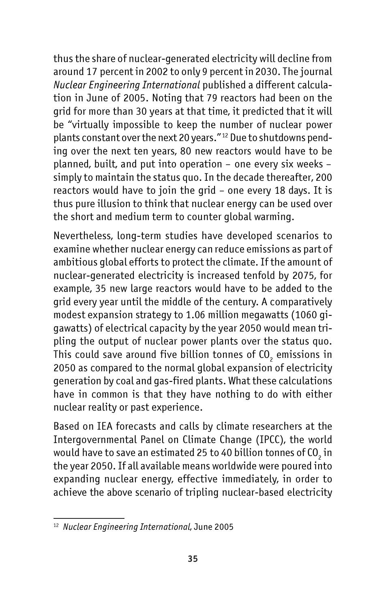thus the share of nuclear-generated electricity will decline from around 17 percent in 2002 to only 9 percent in 2030. The journal Nuclear Engineering International published a different calculation in June of 2005. Noting that 79 reactors had been on the grid for more than 30 years at that time, it predicted that it will be "virtually impossible to keep the number of nuclear power plants constant over the next 20 years."<sup>12</sup> Due to shutdowns pending over the next ten years, 80 new reactors would have to be planned, built, and put into operation - one every six weeks simply to maintain the status quo. In the decade thereafter, 200 reactors would have to join the grid - one every 18 days. It is thus pure illusion to think that nuclear energy can be used over the short and medium term to counter global warming.

Nevertheless, long-term studies have developed scenarios to examine whether nuclear energy can reduce emissions as part of ambitious global efforts to protect the climate. If the amount of nuclear-generated electricity is increased tenfold by 2075, for example, 35 new large reactors would have to be added to the grid every year until the middle of the century. A comparatively modest expansion strategy to 1.06 million megawatts (1060 gigawatts) of electrical capacity by the year 2050 would mean tripling the output of nuclear power plants over the status quo. This could save around five billion tonnes of CO<sub>2</sub> emissions in 2050 as compared to the normal global expansion of electricity generation by coal and gas-fired plants. What these calculations have in common is that they have nothing to do with either nuclear reality or past experience.

Based on IEA forecasts and calls by climate researchers at the Intergovernmental Panel on Climate Change (IPCC), the world would have to save an estimated 25 to 40 billion tonnes of CO<sub>2</sub> in the year 2050. If all available means worldwide were poured into expanding nuclear energy, effective immediately, in order to achieve the above scenario of tripling nuclear-based electricity

<sup>&</sup>lt;sup>12</sup> Nuclear Engineering International, June 2005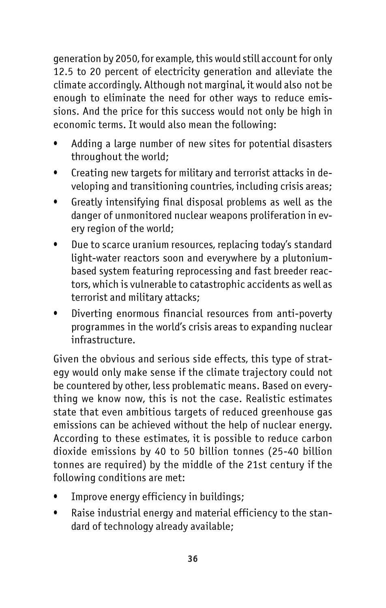generation by 2050, for example, this would still account for only 12.5 to 20 percent of electricity generation and alleviate the climate accordingly. Although not marginal, it would also not be enough to eliminate the need for other ways to reduce emissions. And the price for this success would not only be high in economic terms. It would also mean the following:

- Adding a large number of new sites for potential disasters throughout the world:
- Creating new targets for military and terrorist attacks in developing and transitioning countries, including crisis areas;
- Greatly intensifying final disposal problems as well as the  $\bullet$ danger of unmonitored nuclear weapons proliferation in every region of the world;
- Due to scarce uranium resources, replacing today's standard  $\bullet$ light-water reactors soon and everywhere by a plutoniumbased system featuring reprocessing and fast breeder reactors, which is vulnerable to catastrophic accidents as well as terrorist and military attacks:
- Diverting enormous financial resources from anti-poverty  $\bullet$ programmes in the world's crisis areas to expanding nuclear infrastructure.

Given the obvious and serious side effects, this type of strateqy would only make sense if the climate trajectory could not be countered by other, less problematic means. Based on everything we know now, this is not the case. Realistic estimates state that even ambitious targets of reduced greenhouse gas emissions can be achieved without the help of nuclear energy. According to these estimates, it is possible to reduce carbon dioxide emissions by 40 to 50 billion tonnes (25-40 billion tonnes are required) by the middle of the 21st century if the following conditions are met:

- Improve energy efficiency in buildings;
- Raise industrial energy and material efficiency to the standard of technology already available;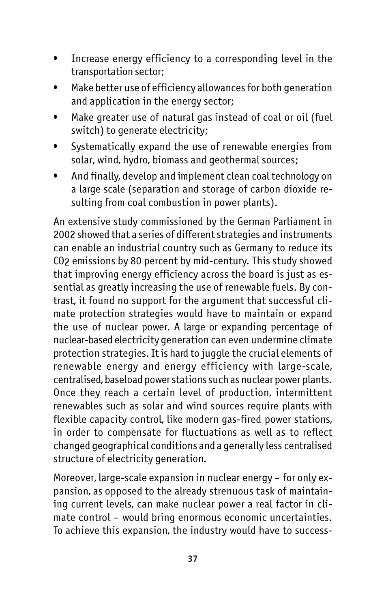- Increase energy efficiency to a corresponding level in the  $\bullet$ transportation sector:
- Make better use of efficiency allowances for both generation  $\bullet$ and application in the energy sector;
- Make greater use of natural gas instead of coal or oil (fuel  $\bullet$ switch) to generate electricity;
- Systematically expand the use of renewable energies from  $\bullet$ solar, wind, hydro, biomass and geothermal sources;
- $\bullet$ And finally, develop and implement clean coal technology on a large scale (separation and storage of carbon dioxide resulting from coal combustion in power plants).

An extensive study commissioned by the German Parliament in 2002 showed that a series of different strategies and instruments can enable an industrial country such as Germany to reduce its CO<sub>2</sub> emissions by 80 percent by mid-century. This study showed that improving energy efficiency across the board is just as essential as greatly increasing the use of renewable fuels. By contrast, it found no support for the argument that successful climate protection strategies would have to maintain or expand the use of nuclear power. A large or expanding percentage of nuclear-based electricity generation can even undermine climate protection strategies. It is hard to juggle the crucial elements of renewable energy and energy efficiency with large-scale, centralised, baseload power stations such as nuclear power plants. Once they reach a certain level of production, intermittent renewables such as solar and wind sources require plants with flexible capacity control, like modern gas-fired power stations, in order to compensate for fluctuations as well as to reflect changed geographical conditions and a generally less centralised structure of electricity generation.

Moreover, large-scale expansion in nuclear energy - for only expansion, as opposed to the already strenuous task of maintaining current levels, can make nuclear power a real factor in climate control - would bring enormous economic uncertainties. To achieve this expansion, the industry would have to success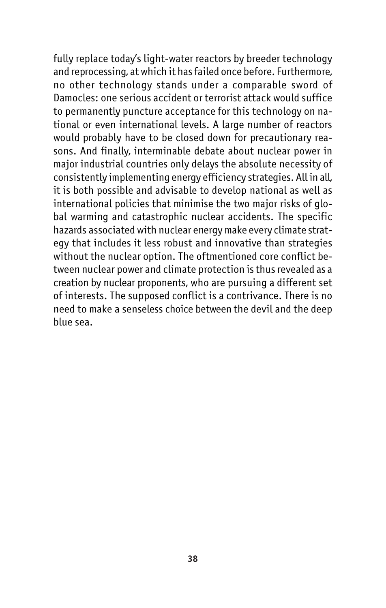fully replace today's light-water reactors by breeder technology and reprocessing, at which it has failed once before. Furthermore, no other technology stands under a comparable sword of Damocles: one serious accident or terrorist attack would suffice to permanently puncture acceptance for this technology on national or even international levels. A large number of reactors would probably have to be closed down for precautionary reasons. And finally, interminable debate about nuclear power in major industrial countries only delays the absolute necessity of consistently implementing energy efficiency strategies. All in all. it is both possible and advisable to develop national as well as international policies that minimise the two major risks of qlobal warming and catastrophic nuclear accidents. The specific hazards associated with nuclear energy make every climate strategy that includes it less robust and innovative than strategies without the nuclear option. The oftmentioned core conflict between nuclear power and climate protection is thus revealed as a creation by nuclear proponents, who are pursuing a different set of interests. The supposed conflict is a contrivance. There is no need to make a senseless choice between the devil and the deep hlue sea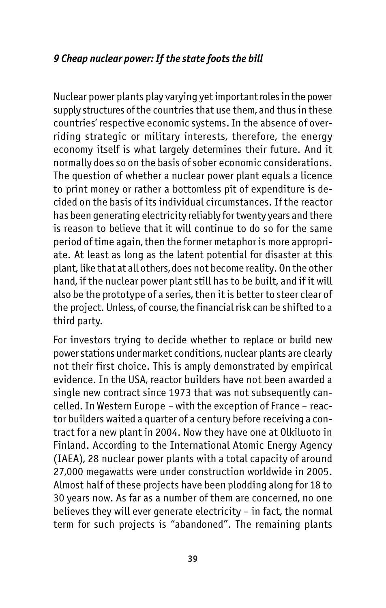Nuclear power plants play varying yet important roles in the power supply structures of the countries that use them, and thus in these countries' respective economic systems. In the absence of overriding strategic or military interests, therefore, the energy economy itself is what largely determines their future. And it normally does so on the basis of sober economic considerations. The question of whether a nuclear power plant equals a licence to print money or rather a bottomless pit of expenditure is decided on the basis of its individual circumstances. If the reactor has been generating electricity reliably for twenty years and there is reason to believe that it will continue to do so for the same period of time again, then the former metaphor is more appropriate. At least as long as the latent potential for disaster at this plant, like that at all others, does not become reality. On the other hand, if the nuclear power plant still has to be built, and if it will also be the prototype of a series, then it is better to steer clear of the project. Unless, of course, the financial risk can be shifted to a third party.

For investors trying to decide whether to replace or build new power stations under market conditions, nuclear plants are clearly not their first choice. This is amply demonstrated by empirical evidence. In the USA, reactor builders have not been awarded a single new contract since 1973 that was not subsequently cancelled. In Western Europe - with the exception of France - reactor builders waited a quarter of a century before receiving a contract for a new plant in 2004. Now they have one at Olkiluoto in Finland. According to the International Atomic Energy Agency (IAEA), 28 nuclear power plants with a total capacity of around 27,000 megawatts were under construction worldwide in 2005. Almost half of these projects have been plodding along for 18 to 30 years now. As far as a number of them are concerned, no one believes they will ever generate electricity - in fact, the normal term for such projects is "abandoned". The remaining plants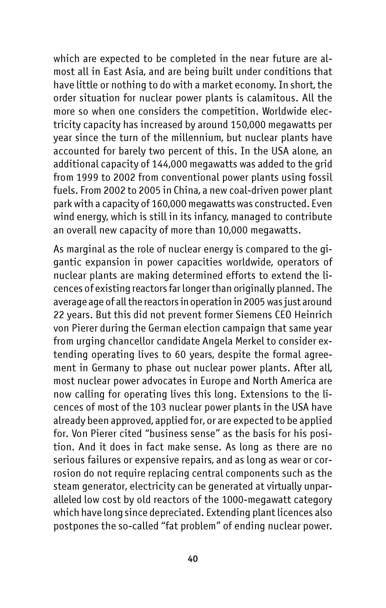which are expected to be completed in the near future are almost all in East Asia, and are being built under conditions that have little or nothing to do with a market economy. In short, the order situation for nuclear power plants is calamitous. All the more so when one considers the competition. Worldwide electricity capacity has increased by around 150,000 megawatts per year since the turn of the millennium, but nuclear plants have accounted for barely two percent of this. In the USA alone, an additional capacity of 144,000 megawatts was added to the grid from 1999 to 2002 from conventional power plants using fossil fuels. From 2002 to 2005 in China, a new coal-driven power plant park with a capacity of 160,000 megawatts was constructed. Even wind energy, which is still in its infancy, managed to contribute an overall new capacity of more than 10,000 megawatts.

As marginal as the role of nuclear energy is compared to the gigantic expansion in power capacities worldwide, operators of nuclear plants are making determined efforts to extend the licences of existing reactors far longer than originally planned. The average age of all the reactors in operation in 2005 was just around 22 years. But this did not prevent former Siemens CEO Heinrich von Pierer during the German election campaign that same year from urging chancellor candidate Angela Merkel to consider extending operating lives to 60 years, despite the formal agreement in Germany to phase out nuclear power plants. After all, most nuclear power advocates in Europe and North America are now calling for operating lives this long. Extensions to the licences of most of the 103 nuclear power plants in the USA have already been approved, applied for, or are expected to be applied for. Von Pierer cited "business sense" as the basis for his position. And it does in fact make sense. As long as there are no serious failures or expensive repairs, and as long as wear or corrosion do not require replacing central components such as the steam generator, electricity can be generated at virtually unparalleled low cost by old reactors of the 1000-megawatt category which have long since depreciated. Extending plant licences also postpones the so-called "fat problem" of ending nuclear power.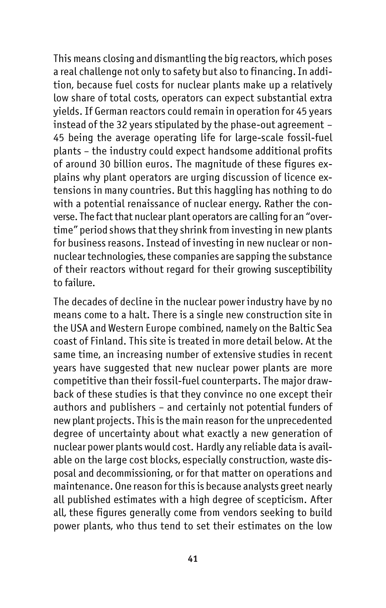This means closing and dismantling the big reactors, which poses a real challenge not only to safety but also to financing. In addition, because fuel costs for nuclear plants make up a relatively low share of total costs, operators can expect substantial extra vields. If German reactors could remain in operation for 45 years instead of the 32 years stipulated by the phase-out agreement -45 being the average operating life for large-scale fossil-fuel plants - the industry could expect handsome additional profits of around 30 billion euros. The magnitude of these figures explains why plant operators are urging discussion of licence extensions in many countries. But this haggling has nothing to do with a potential renaissance of nuclear energy. Rather the converse. The fact that nuclear plant operators are calling for an "overtime" period shows that they shrink from investing in new plants for business reasons. Instead of investing in new nuclear or nonnuclear technologies, these companies are sapping the substance of their reactors without regard for their growing susceptibility to failure.

The decades of decline in the nuclear power industry have by no means come to a halt. There is a single new construction site in the USA and Western Europe combined, namely on the Baltic Sea coast of Finland. This site is treated in more detail below. At the same time, an increasing number of extensive studies in recent vears have suggested that new nuclear power plants are more competitive than their fossil-fuel counterparts. The major drawback of these studies is that they convince no one except their authors and publishers - and certainly not potential funders of new plant projects. This is the main reason for the unprecedented degree of uncertainty about what exactly a new generation of nuclear power plants would cost. Hardly any reliable data is available on the large cost blocks, especially construction, waste disposal and decommissioning, or for that matter on operations and maintenance. One reason for this is because analysts greet nearly all published estimates with a high degree of scepticism. After all, these figures generally come from vendors seeking to build power plants, who thus tend to set their estimates on the low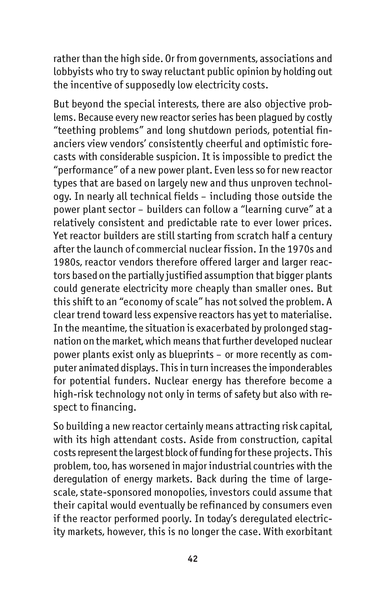rather than the high side. Or from governments, associations and lobbyists who try to sway reluctant public opinion by holding out the incentive of supposedly low electricity costs.

But beyond the special interests, there are also objective problems. Because every new reactor series has been plaqued by costly "teething problems" and long shutdown periods, potential financiers view vendors' consistently cheerful and optimistic forecasts with considerable suspicion. It is impossible to predict the "performance" of a new power plant. Even less so for new reactor types that are based on largely new and thus unproven technology. In nearly all technical fields - including those outside the power plant sector - builders can follow a "learning curve" at a relatively consistent and predictable rate to ever lower prices. Yet reactor builders are still starting from scratch half a century after the launch of commercial nuclear fission. In the 1970s and 1980s, reactor vendors therefore offered larger and larger reactors based on the partially justified assumption that bigger plants could generate electricity more cheaply than smaller ones. But this shift to an "economy of scale" has not solved the problem. A clear trend toward less expensive reactors has yet to materialise. In the meantime, the situation is exacerbated by prolonged stagnation on the market, which means that further developed nuclear power plants exist only as blueprints - or more recently as computer animated displays. This in turn increases the imponderables for potential funders. Nuclear energy has therefore become a high-risk technology not only in terms of safety but also with respect to financing.

So building a new reactor certainly means attracting risk capital, with its high attendant costs. Aside from construction, capital costs represent the largest block of funding for these projects. This problem, too, has worsened in major industrial countries with the deregulation of energy markets. Back during the time of largescale, state-sponsored monopolies, investors could assume that their capital would eventually be refinanced by consumers even if the reactor performed poorly. In today's deregulated electricity markets, however, this is no longer the case. With exorbitant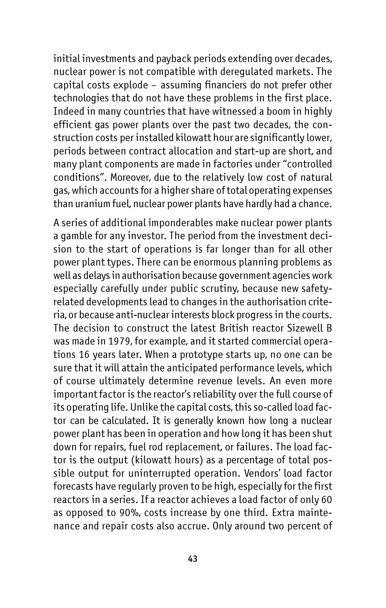initial investments and payback periods extending over decades, nuclear power is not compatible with deregulated markets. The capital costs explode - assuming financiers do not prefer other technologies that do not have these problems in the first place. Indeed in many countries that have witnessed a boom in highly efficient gas power plants over the past two decades, the construction costs per installed kilowatt hour are significantly lower, periods between contract allocation and start-up are short, and many plant components are made in factories under "controlled conditions". Moreover, due to the relatively low cost of natural gas, which accounts for a higher share of total operating expenses than uranium fuel, nuclear power plants have hardly had a chance.

A series of additional imponderables make nuclear power plants a gamble for any investor. The period from the investment decision to the start of operations is far longer than for all other power plant types. There can be enormous planning problems as well as delays in authorisation because government agencies work especially carefully under public scrutiny, because new safetyrelated developments lead to changes in the authorisation criteria, or because anti-nuclear interests block progress in the courts. The decision to construct the latest British reactor Sizewell B was made in 1979, for example, and it started commercial operations 16 years later. When a prototype starts up, no one can be sure that it will attain the anticipated performance levels, which of course ultimately determine revenue levels. An even more important factor is the reactor's reliability over the full course of its operating life. Unlike the capital costs, this so-called load factor can be calculated. It is generally known how long a nuclear power plant has been in operation and how long it has been shut down for repairs, fuel rod replacement, or failures. The load factor is the output (kilowatt hours) as a percentage of total possible output for uninterrupted operation. Vendors' load factor forecasts have regularly proven to be high, especially for the first reactors in a series. If a reactor achieves a load factor of only 60 as opposed to 90%, costs increase by one third. Extra maintenance and repair costs also accrue. Only around two percent of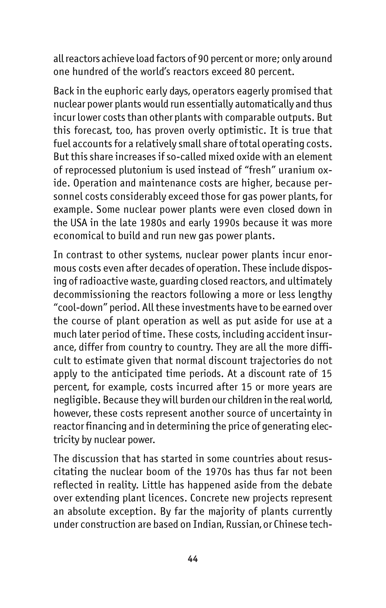all reactors achieve load factors of 90 percent or more; only around one hundred of the world's reactors exceed 80 percent.

Back in the euphoric early days, operators eagerly promised that nuclear power plants would run essentially automatically and thus incur lower costs than other plants with comparable outputs. But this forecast, too, has proven overly optimistic. It is true that fuel accounts for a relatively small share of total operating costs. But this share increases if so-called mixed oxide with an element of reprocessed plutonium is used instead of "fresh" uranium oxide. Operation and maintenance costs are higher, because personnel costs considerably exceed those for gas power plants, for example. Some nuclear power plants were even closed down in the USA in the late 1980s and early 1990s because it was more economical to build and run new gas power plants.

In contrast to other systems, nuclear power plants incur enormous costs even after decades of operation. These include disposing of radioactive waste, quarding closed reactors, and ultimately decommissioning the reactors following a more or less lengthy "cool-down" period. All these investments have to be earned over the course of plant operation as well as put aside for use at a much later period of time. These costs, including accident insurance, differ from country to country. They are all the more difficult to estimate given that normal discount trajectories do not apply to the anticipated time periods. At a discount rate of 15 percent, for example, costs incurred after 15 or more years are negligible. Because they will burden our children in the real world, however, these costs represent another source of uncertainty in reactor financing and in determining the price of generating electricity by nuclear power.

The discussion that has started in some countries about resuscitating the nuclear boom of the 1970s has thus far not been reflected in reality. Little has happened aside from the debate over extending plant licences. Concrete new projects represent an absolute exception. By far the majority of plants currently under construction are based on Indian, Russian, or Chinese tech-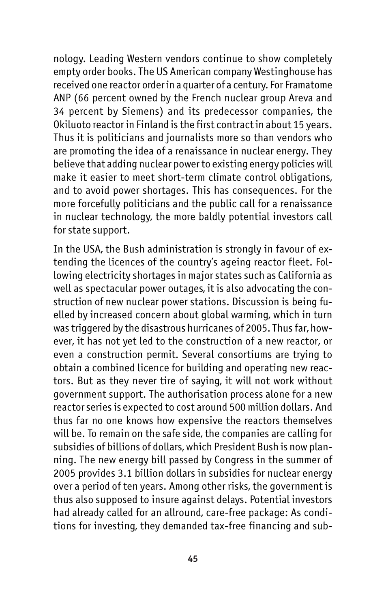nology. Leading Western vendors continue to show completely empty order books. The US American company Westinghouse has received one reactor order in a quarter of a century. For Framatome ANP (66 percent owned by the French nuclear group Areva and 34 percent by Siemens) and its predecessor companies, the Okiluoto reactor in Finland is the first contract in about 15 years. Thus it is politicians and journalists more so than vendors who are promoting the idea of a renaissance in nuclear energy. They believe that adding nuclear power to existing energy policies will make it easier to meet short-term climate control obligations, and to avoid power shortages. This has conseguences. For the more forcefully politicians and the public call for a renaissance in nuclear technology, the more baldly potential investors call for state support.

In the USA, the Bush administration is strongly in favour of extending the licences of the country's ageing reactor fleet. Following electricity shortages in major states such as California as well as spectacular power outages, it is also advocating the construction of new nuclear power stations. Discussion is being fuelled by increased concern about global warming, which in turn was triggered by the disastrous hurricanes of 2005. Thus far, however, it has not yet led to the construction of a new reactor, or even a construction permit. Several consortiums are trying to obtain a combined licence for building and operating new reactors. But as they never tire of saying, it will not work without government support. The authorisation process alone for a new reactor series is expected to cost around 500 million dollars. And thus far no one knows how expensive the reactors themselves will be. To remain on the safe side, the companies are calling for subsidies of billions of dollars, which President Bush is now planning. The new energy bill passed by Congress in the summer of 2005 provides 3.1 billion dollars in subsidies for nuclear energy over a period of ten years. Among other risks, the government is thus also supposed to insure against delays. Potential investors had already called for an allround, care-free package: As conditions for investing, they demanded tax-free financing and sub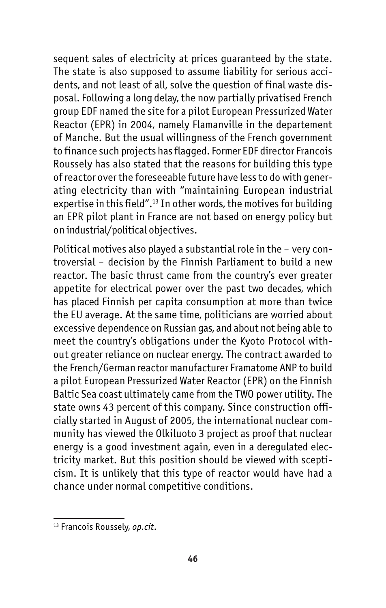sequent sales of electricity at prices quaranteed by the state. The state is also supposed to assume liability for serious accidents, and not least of all, solve the question of final waste disposal. Following a long delay, the now partially privatised French group EDF named the site for a pilot European Pressurized Water Reactor (EPR) in 2004, namely Flamanville in the departement of Manche. But the usual willingness of the French government to finance such projects has flagged. Former EDF director Francois Roussely has also stated that the reasons for building this type of reactor over the foreseeable future have less to do with generating electricity than with "maintaining European industrial expertise in this field".<sup>13</sup> In other words, the motives for building an EPR pilot plant in France are not based on energy policy but on industrial/political objectives.

Political motives also played a substantial role in the - very controversial - decision by the Finnish Parliament to build a new reactor. The basic thrust came from the country's ever greater appetite for electrical power over the past two decades, which has placed Finnish per capita consumption at more than twice the EU average. At the same time, politicians are worried about excessive dependence on Russian gas, and about not being able to meet the country's obligations under the Kyoto Protocol without greater reliance on nuclear energy. The contract awarded to the French/German reactor manufacturer Framatome ANP to build a pilot European Pressurized Water Reactor (EPR) on the Finnish Baltic Sea coast ultimately came from the TWO power utility. The state owns 43 percent of this company. Since construction officially started in August of 2005, the international nuclear community has viewed the Olkiluoto 3 project as proof that nuclear energy is a good investment again, even in a deregulated electricity market. But this position should be viewed with scepticism. It is unlikely that this type of reactor would have had a chance under normal competitive conditions.

<sup>&</sup>lt;sup>13</sup> Francois Roussely, op.cit.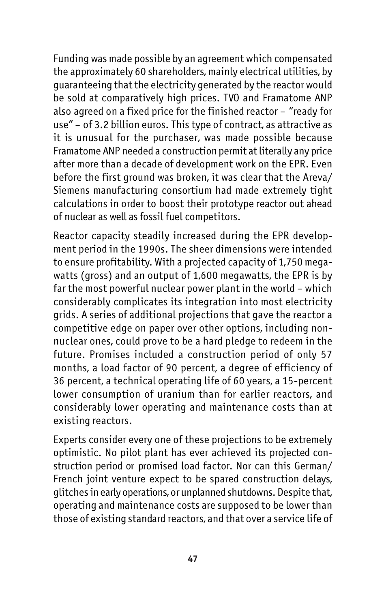Funding was made possible by an agreement which compensated the approximately 60 shareholders, mainly electrical utilities, by quaranteeing that the electricity generated by the reactor would be sold at comparatively high prices. TVO and Framatome ANP also agreed on a fixed price for the finished reactor - "ready for use" - of 3.2 billion euros. This type of contract, as attractive as it is unusual for the purchaser, was made possible because Framatome ANP needed a construction permit at literally any price after more than a decade of development work on the EPR. Even before the first ground was broken, it was clear that the Areva/ Siemens manufacturing consortium had made extremely tight calculations in order to boost their prototype reactor out ahead of nuclear as well as fossil fuel competitors.

Reactor capacity steadily increased during the EPR development period in the 1990s. The sheer dimensions were intended to ensure profitability. With a projected capacity of 1,750 megawatts (gross) and an output of 1,600 megawatts, the EPR is by far the most powerful nuclear power plant in the world - which considerably complicates its integration into most electricity grids. A series of additional projections that gave the reactor a competitive edge on paper over other options, including nonnuclear ones, could prove to be a hard pledge to redeem in the future. Promises included a construction period of only 57 months, a load factor of 90 percent, a degree of efficiency of 36 percent, a technical operating life of 60 years, a 15-percent lower consumption of uranium than for earlier reactors, and considerably lower operating and maintenance costs than at existing reactors.

Experts consider every one of these projections to be extremely optimistic. No pilot plant has ever achieved its projected construction period or promised load factor. Nor can this German/ French joint venture expect to be spared construction delays, glitches in early operations, or unplanned shutdowns. Despite that, operating and maintenance costs are supposed to be lower than those of existing standard reactors, and that over a service life of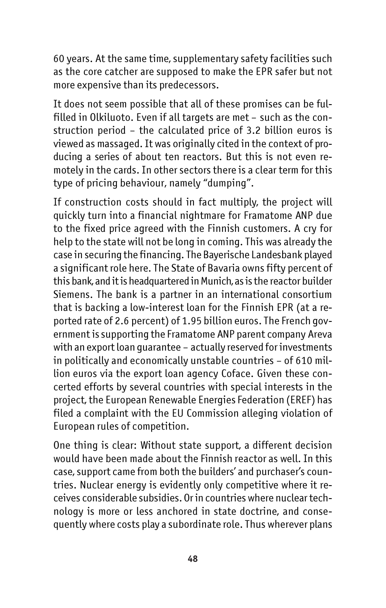60 years. At the same time, supplementary safety facilities such as the core catcher are supposed to make the EPR safer but not more expensive than its predecessors.

It does not seem possible that all of these promises can be fulfilled in Olkiluoto. Even if all targets are met - such as the construction period – the calculated price of 3.2 billion euros is viewed as massaged. It was originally cited in the context of producing a series of about ten reactors. But this is not even remotely in the cards. In other sectors there is a clear term for this type of pricing behaviour, namely "dumping".

If construction costs should in fact multiply, the project will quickly turn into a financial nightmare for Framatome ANP due to the fixed price agreed with the Finnish customers. A cry for help to the state will not be long in coming. This was already the case in securing the financing. The Bayerische Landesbank played a significant role here. The State of Bavaria owns fifty percent of this bank, and it is headquartered in Munich, as is the reactor builder Siemens. The bank is a partner in an international consortium that is backing a low-interest loan for the Finnish EPR (at a reported rate of 2.6 percent) of 1.95 billion euros. The French government is supporting the Framatome ANP parent company Areva with an export loan quarantee - actually reserved for investments in politically and economically unstable countries - of 610 million euros via the export loan agency Coface. Given these concerted efforts by several countries with special interests in the project, the European Renewable Energies Federation (EREF) has filed a complaint with the EU Commission alleging violation of European rules of competition.

One thing is clear: Without state support, a different decision would have been made about the Finnish reactor as well. In this case, support came from both the builders' and purchaser's countries. Nuclear energy is evidently only competitive where it receives considerable subsidies. Or in countries where nuclear technology is more or less anchored in state doctrine, and consequently where costs play a subordinate role. Thus wherever plans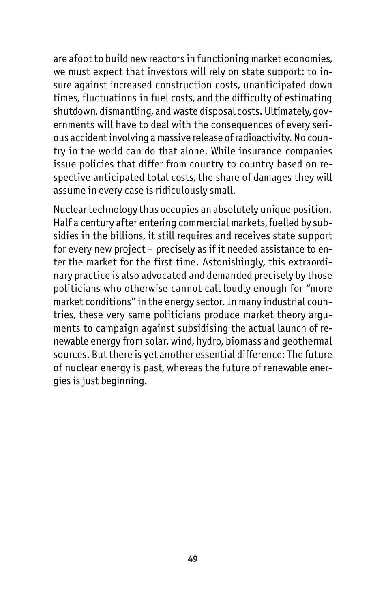are afoot to build new reactors in functioning market economies, we must expect that investors will rely on state support: to insure against increased construction costs, unanticipated down times, fluctuations in fuel costs, and the difficulty of estimating shutdown, dismantling, and waste disposal costs. Ultimately, governments will have to deal with the consequences of every serious accident involving a massive release of radioactivity. No country in the world can do that alone. While insurance companies issue policies that differ from country to country based on respective anticipated total costs, the share of damages they will assume in every case is ridiculously small.

Nuclear technology thus occupies an absolutely unique position. Half a century after entering commercial markets, fuelled by subsidies in the billions, it still requires and receives state support for every new project - precisely as if it needed assistance to enter the market for the first time. Astonishingly, this extraordinary practice is also advocated and demanded precisely by those politicians who otherwise cannot call loudly enough for "more market conditions" in the energy sector. In many industrial countries, these very same politicians produce market theory arguments to campaign against subsidising the actual launch of renewable energy from solar, wind, hydro, biomass and geothermal sources. But there is vet another essential difference: The future of nuclear energy is past, whereas the future of renewable enerqies is just beginning.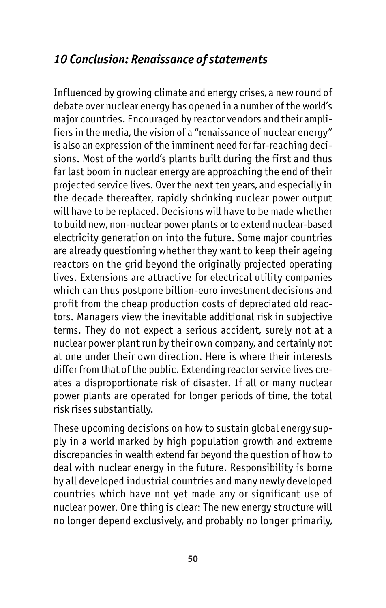## 10 Conclusion: Renaissance of statements

Influenced by growing climate and energy crises, a new round of debate over nuclear energy has opened in a number of the world's major countries. Encouraged by reactor vendors and their amplifiers in the media, the vision of a "renaissance of nuclear energy" is also an expression of the imminent need for far-reaching decisions. Most of the world's plants built during the first and thus far last boom in nuclear energy are approaching the end of their projected service lives. Over the next ten years, and especially in the decade thereafter, rapidly shrinking nuclear power output will have to be replaced. Decisions will have to be made whether to build new, non-nuclear power plants or to extend nuclear-based electricity generation on into the future. Some major countries are already questioning whether they want to keep their ageing reactors on the grid beyond the originally projected operating lives. Extensions are attractive for electrical utility companies which can thus postpone billion-euro investment decisions and profit from the cheap production costs of depreciated old reactors. Managers view the inevitable additional risk in subiective terms. They do not expect a serious accident, surely not at a nuclear power plant run by their own company, and certainly not at one under their own direction. Here is where their interests differ from that of the public. Extending reactor service lives creates a disproportionate risk of disaster. If all or many nuclear power plants are operated for longer periods of time, the total risk rises substantially.

These upcoming decisions on how to sustain global energy supply in a world marked by high population growth and extreme discrepancies in wealth extend far beyond the question of how to deal with nuclear energy in the future. Responsibility is borne by all developed industrial countries and many newly developed countries which have not yet made any or significant use of nuclear power. One thing is clear: The new energy structure will no longer depend exclusively, and probably no longer primarily,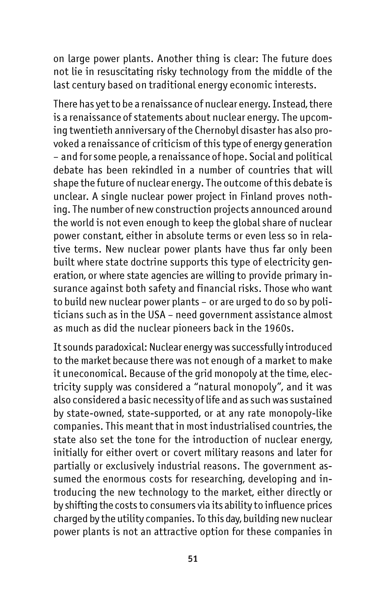on large power plants. Another thing is clear: The future does not lie in resuscitating risky technology from the middle of the last century based on traditional energy economic interests.

There has yet to be a renaissance of nuclear energy. Instead, there is a renaissance of statements about nuclear energy. The upcoming twentieth anniversary of the Chernobyl disaster has also provoked a renaissance of criticism of this type of energy generation - and for some people, a renaissance of hope. Social and political debate has been rekindled in a number of countries that will shape the future of nuclear energy. The outcome of this debate is unclear. A single nuclear power project in Finland proves nothing. The number of new construction projects announced around the world is not even enough to keep the global share of nuclear power constant, either in absolute terms or even less so in relative terms. New nuclear power plants have thus far only been built where state doctrine supports this type of electricity generation, or where state agencies are willing to provide primary insurance against both safety and financial risks. Those who want to build new nuclear power plants - or are urged to do so by politicians such as in the USA - need government assistance almost as much as did the nuclear pioneers back in the 1960s.

It sounds paradoxical: Nuclear energy was successfully introduced to the market because there was not enough of a market to make it uneconomical. Because of the grid monopoly at the time, electricity supply was considered a "natural monopoly", and it was also considered a basic necessity of life and as such was sustained by state-owned, state-supported, or at any rate monopoly-like companies. This meant that in most industrialised countries, the state also set the tone for the introduction of nuclear energy, initially for either overt or covert military reasons and later for partially or exclusively industrial reasons. The government assumed the enormous costs for researching, developing and introducing the new technology to the market, either directly or by shifting the costs to consumers via its ability to influence prices charged by the utility companies. To this day, building new nuclear power plants is not an attractive option for these companies in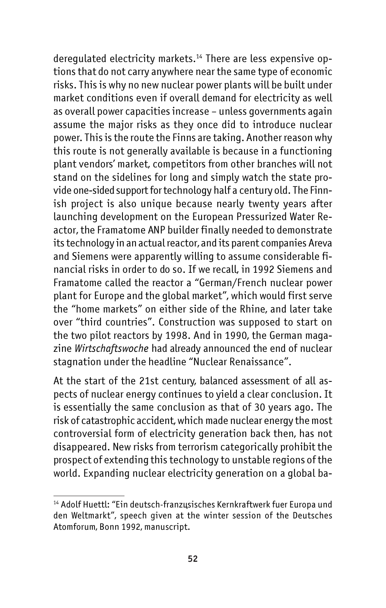deregulated electricity markets.<sup>14</sup> There are less expensive options that do not carry anywhere near the same type of economic risks. This is why no new nuclear power plants will be built under market conditions even if overall demand for electricity as well as overall power capacities increase - unless governments again assume the major risks as they once did to introduce nuclear power. This is the route the Finns are taking. Another reason why this route is not generally available is because in a functioning plant vendors' market, competitors from other branches will not stand on the sidelines for long and simply watch the state provide one-sided support for technology half a century old. The Finnish project is also unique because nearly twenty years after launching development on the European Pressurized Water Reactor, the Framatome ANP builder finally needed to demonstrate its technology in an actual reactor, and its parent companies Areva and Siemens were apparently willing to assume considerable financial risks in order to do so. If we recall, in 1992 Siemens and Framatome called the reactor a "German/French nuclear power plant for Europe and the global market", which would first serve the "home markets" on either side of the Rhine, and later take over "third countries". Construction was supposed to start on the two pilot reactors by 1998. And in 1990, the German magazine Wirtschaftswoche had already announced the end of nuclear stagnation under the headline "Nuclear Renaissance".

At the start of the 21st century, balanced assessment of all aspects of nuclear energy continues to yield a clear conclusion. It is essentially the same conclusion as that of 30 years ago. The risk of catastrophic accident, which made nuclear energy the most controversial form of electricity generation back then, has not disappeared. New risks from terrorism categorically prohibit the prospect of extending this technology to unstable regions of the world. Expanding nuclear electricity generation on a global ba-

<sup>&</sup>lt;sup>14</sup> Adolf Huettl: "Ein deutsch-franzusisches Kernkraftwerk fuer Europa und den Weltmarkt", speech given at the winter session of the Deutsches Atomforum, Bonn 1992, manuscript.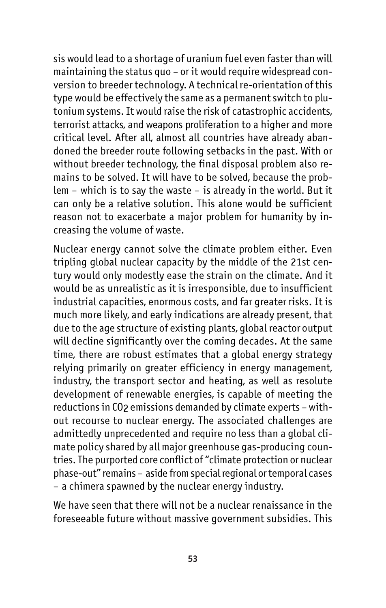sis would lead to a shortage of uranium fuel even faster than will maintaining the status quo - or it would require widespread conversion to breeder technology. A technical re-orientation of this type would be effectively the same as a permanent switch to plutonium systems. It would raise the risk of catastrophic accidents, terrorist attacks, and weapons proliferation to a higher and more critical level. After all, almost all countries have already abandoned the breeder route following setbacks in the past. With or without breeder technology, the final disposal problem also remains to be solved. It will have to be solved, because the problem  $-$  which is to say the waste  $-$  is already in the world. But it can only be a relative solution. This alone would be sufficient reason not to exacerbate a major problem for humanity by increasing the volume of waste.

Nuclear energy cannot solve the climate problem either. Even tripling global nuclear capacity by the middle of the 21st century would only modestly ease the strain on the climate. And it would be as unrealistic as it is irresponsible, due to insufficient industrial capacities, enormous costs, and far greater risks. It is much more likely, and early indications are already present, that due to the age structure of existing plants, global reactor output will decline significantly over the coming decades. At the same time, there are robust estimates that a global energy strategy relving primarily on greater efficiency in energy management. industry, the transport sector and heating, as well as resolute development of renewable energies, is capable of meeting the reductions in CO2 emissions demanded by climate experts - without recourse to nuclear energy. The associated challenges are admittedly unprecedented and require no less than a global climate policy shared by all major greenhouse gas-producing countries. The purported core conflict of "climate protection or nuclear phase-out" remains - aside from special regional or temporal cases - a chimera spawned by the nuclear energy industry.

We have seen that there will not be a nuclear renaissance in the foreseeable future without massive government subsidies. This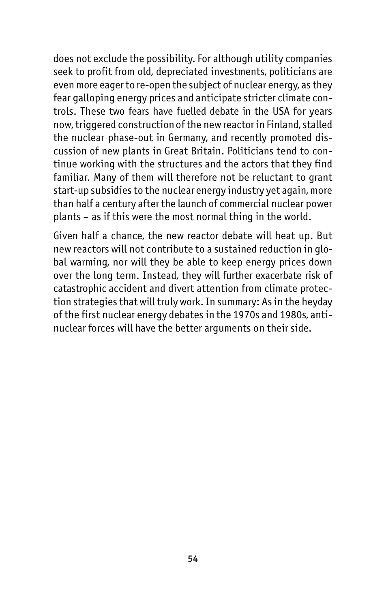does not exclude the possibility. For although utility companies seek to profit from old, depreciated investments, politicians are even more eager to re-open the subject of nuclear energy, as they fear galloping energy prices and anticipate stricter climate controls. These two fears have fuelled debate in the USA for years now, triggered construction of the new reactor in Finland, stalled the nuclear phase-out in Germany, and recently promoted discussion of new plants in Great Britain. Politicians tend to continue working with the structures and the actors that they find familiar. Many of them will therefore not be reluctant to grant start-up subsidies to the nuclear energy industry yet again, more than half a century after the launch of commercial nuclear power plants - as if this were the most normal thing in the world.

Given half a chance, the new reactor debate will heat up. But new reactors will not contribute to a sustained reduction in qlobal warming, nor will they be able to keep energy prices down over the long term. Instead, they will further exacerbate risk of catastrophic accident and divert attention from climate protection strategies that will truly work. In summary: As in the heyday of the first nuclear energy debates in the 1970s and 1980s, antinuclear forces will have the better arguments on their side.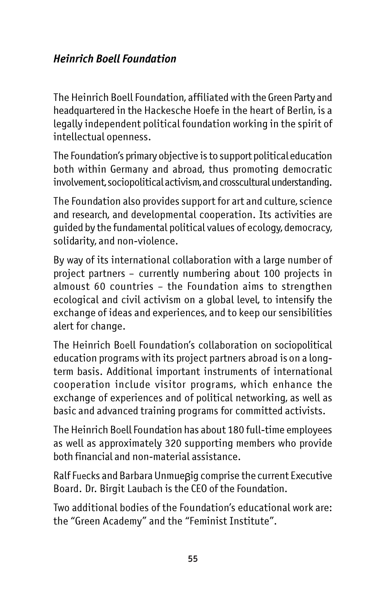#### **Heinrich Boell Foundation**

The Heinrich Boell Foundation, affiliated with the Green Party and headquartered in the Hackesche Hoefe in the heart of Berlin, is a legally independent political foundation working in the spirit of intellectual openness.

The Foundation's primary objective is to support political education both within Germany and abroad, thus promoting democratic involvement, sociopolitical activism, and crosscultural understanding.

The Foundation also provides support for art and culture, science and research, and developmental cooperation. Its activities are quided by the fundamental political values of ecology, democracy, solidarity, and non-violence.

By way of its international collaboration with a large number of project partners - currently numbering about 100 projects in almoust 60 countries - the Foundation aims to strengthen ecological and civil activism on a global level, to intensify the exchange of ideas and experiences, and to keep our sensibilities alert for change.

The Heinrich Boell Foundation's collaboration on sociopolitical education programs with its project partners abroad is on a longterm basis. Additional important instruments of international cooperation include visitor programs, which enhance the exchange of experiences and of political networking, as well as basic and advanced training programs for committed activists.

The Heinrich Boell Foundation has about 180 full-time employees as well as approximately 320 supporting members who provide hoth financial and non-material assistance.

Ralf Fuecks and Barbara Unmueßig comprise the current Executive Board. Dr. Birgit Laubach is the CEO of the Foundation.

Two additional bodies of the Foundation's educational work are: the "Green Academy" and the "Feminist Institute".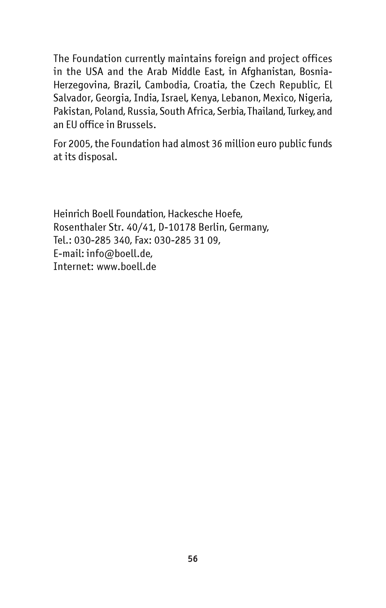The Foundation currently maintains foreign and project offices in the USA and the Arab Middle East, in Afghanistan, Bosnia-Herzegovina, Brazil, Cambodia, Croatia, the Czech Republic, El Salvador, Georgia, India, Israel, Kenya, Lebanon, Mexico, Nigeria, Pakistan, Poland, Russia, South Africa, Serbia, Thailand, Turkey, and an Ell office in Brussels.

For 2005, the Foundation had almost 36 million euro public funds at its disposal.

Heinrich Boell Foundation, Hackesche Hoefe, Rosenthaler Str. 40/41, D-10178 Berlin, Germany, Tel.: 030-285 340, Fax: 030-285 31 09, E-mail: info@boell.de, Internet: www.boell.de